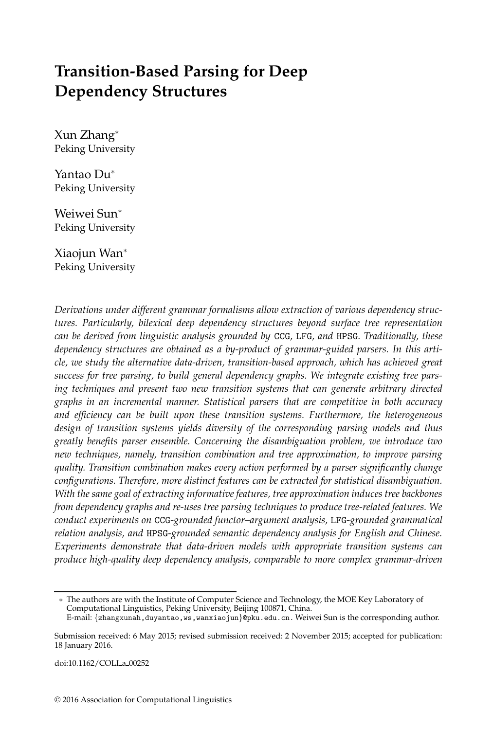# **Transition-Based Parsing for Deep Dependency Structures**

Xun Zhang<sup>∗</sup> Peking University

Yantao Du<sup>∗</sup> Peking University

Weiwei Sun<sup>∗</sup> Peking University

Xiaojun Wan<sup>∗</sup> Peking University

*Derivations under different grammar formalisms allow extraction of various dependency structures. Particularly, bilexical deep dependency structures beyond surface tree representation can be derived from linguistic analysis grounded by* CCG*,* LFG*, and* HPSG*. Traditionally, these dependency structures are obtained as a by-product of grammar-guided parsers. In this article, we study the alternative data-driven, transition-based approach, which has achieved great success for tree parsing, to build general dependency graphs. We integrate existing tree parsing techniques and present two new transition systems that can generate arbitrary directed graphs in an incremental manner. Statistical parsers that are competitive in both accuracy and efficiency can be built upon these transition systems. Furthermore, the heterogeneous design of transition systems yields diversity of the corresponding parsing models and thus greatly benefits parser ensemble. Concerning the disambiguation problem, we introduce two new techniques, namely, transition combination and tree approximation, to improve parsing quality. Transition combination makes every action performed by a parser significantly change configurations. Therefore, more distinct features can be extracted for statistical disambiguation. With the same goal of extracting informative features, tree approximation induces tree backbones from dependency graphs and re-uses tree parsing techniques to produce tree-related features. We conduct experiments on* CCG*-grounded functor–argument analysis,* LFG*-grounded grammatical relation analysis, and* HPSG*-grounded semantic dependency analysis for English and Chinese. Experiments demonstrate that data-driven models with appropriate transition systems can produce high-quality deep dependency analysis, comparable to more complex grammar-driven*

doi:10.1162/COLI a 00252

<sup>∗</sup> The authors are with the Institute of Computer Science and Technology, the MOE Key Laboratory of Computational Linguistics, Peking University, Beijing 100871, China.

E-mail: {zhangxunah,duyantao,ws,wanxiaojun}@pku.edu.cn. Weiwei Sun is the corresponding author.

Submission received: 6 May 2015; revised submission received: 2 November 2015; accepted for publication: 18 January 2016.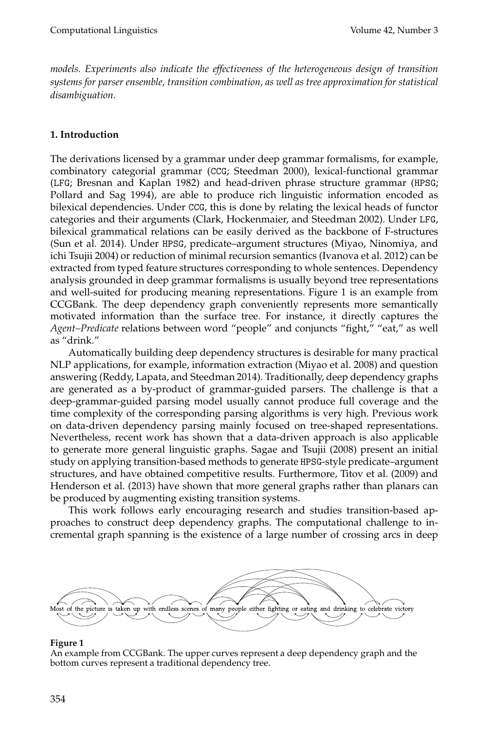*models. Experiments also indicate the effectiveness of the heterogeneous design of transition systems for parser ensemble, transition combination, as well as tree approximation for statistical disambiguation.*

#### **1. Introduction**

The derivations licensed by a grammar under deep grammar formalisms, for example, combinatory categorial grammar (CCG; Steedman 2000), lexical-functional grammar (LFG; Bresnan and Kaplan 1982) and head-driven phrase structure grammar (HPSG; Pollard and Sag 1994), are able to produce rich linguistic information encoded as bilexical dependencies. Under CCG, this is done by relating the lexical heads of functor categories and their arguments (Clark, Hockenmaier, and Steedman 2002). Under LFG, bilexical grammatical relations can be easily derived as the backbone of F-structures (Sun et al. 2014). Under HPSG, predicate–argument structures (Miyao, Ninomiya, and ichi Tsujii 2004) or reduction of minimal recursion semantics (Ivanova et al. 2012) can be extracted from typed feature structures corresponding to whole sentences. Dependency analysis grounded in deep grammar formalisms is usually beyond tree representations and well-suited for producing meaning representations. Figure 1 is an example from CCGBank. The deep dependency graph conveniently represents more semantically motivated information than the surface tree. For instance, it directly captures the *Agent–Predicate* relations between word "people" and conjuncts "fight," "eat," as well as "drink."

Automatically building deep dependency structures is desirable for many practical NLP applications, for example, information extraction (Miyao et al. 2008) and question answering (Reddy, Lapata, and Steedman 2014). Traditionally, deep dependency graphs are generated as a by-product of grammar-guided parsers. The challenge is that a deep-grammar-guided parsing model usually cannot produce full coverage and the time complexity of the corresponding parsing algorithms is very high. Previous work on data-driven dependency parsing mainly focused on tree-shaped representations. Nevertheless, recent work has shown that a data-driven approach is also applicable to generate more general linguistic graphs. Sagae and Tsujii (2008) present an initial study on applying transition-based methods to generate HPSG-style predicate–argument structures, and have obtained competitive results. Furthermore, Titov et al. (2009) and Henderson et al. (2013) have shown that more general graphs rather than planars can be produced by augmenting existing transition systems.

This work follows early encouraging research and studies transition-based approaches to construct deep dependency graphs. The computational challenge to incremental graph spanning is the existence of a large number of crossing arcs in deep



#### **Figure 1**

An example from CCGBank. The upper curves represent a deep dependency graph and the bottom curves represent a traditional dependency tree.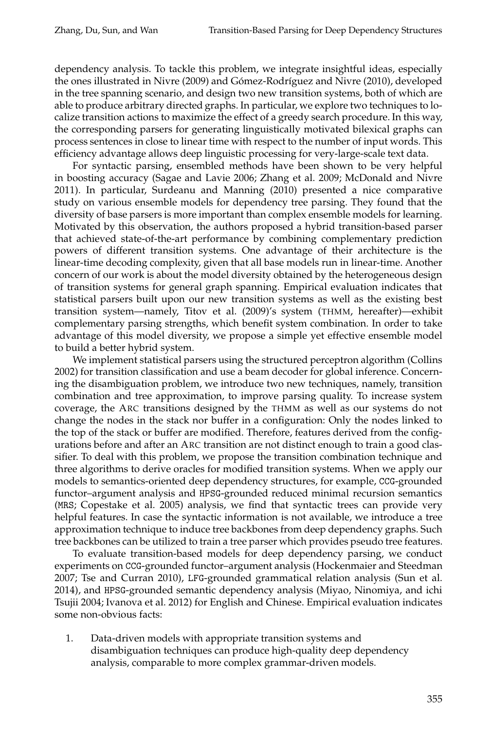dependency analysis. To tackle this problem, we integrate insightful ideas, especially the ones illustrated in Nivre (2009) and Gómez-Rodríguez and Nivre (2010), developed in the tree spanning scenario, and design two new transition systems, both of which are able to produce arbitrary directed graphs. In particular, we explore two techniques to localize transition actions to maximize the effect of a greedy search procedure. In this way, the corresponding parsers for generating linguistically motivated bilexical graphs can process sentences in close to linear time with respect to the number of input words. This efficiency advantage allows deep linguistic processing for very-large-scale text data.

For syntactic parsing, ensembled methods have been shown to be very helpful in boosting accuracy (Sagae and Lavie 2006; Zhang et al. 2009; McDonald and Nivre 2011). In particular, Surdeanu and Manning (2010) presented a nice comparative study on various ensemble models for dependency tree parsing. They found that the diversity of base parsers is more important than complex ensemble models for learning. Motivated by this observation, the authors proposed a hybrid transition-based parser that achieved state-of-the-art performance by combining complementary prediction powers of different transition systems. One advantage of their architecture is the linear-time decoding complexity, given that all base models run in linear-time. Another concern of our work is about the model diversity obtained by the heterogeneous design of transition systems for general graph spanning. Empirical evaluation indicates that statistical parsers built upon our new transition systems as well as the existing best transition system—namely, Titov et al. (2009)'s system (THMM, hereafter)—exhibit complementary parsing strengths, which benefit system combination. In order to take advantage of this model diversity, we propose a simple yet effective ensemble model to build a better hybrid system.

We implement statistical parsers using the structured perceptron algorithm (Collins 2002) for transition classification and use a beam decoder for global inference. Concerning the disambiguation problem, we introduce two new techniques, namely, transition combination and tree approximation, to improve parsing quality. To increase system coverage, the ARC transitions designed by the THMM as well as our systems do not change the nodes in the stack nor buffer in a configuration: Only the nodes linked to the top of the stack or buffer are modified. Therefore, features derived from the configurations before and after an ARC transition are not distinct enough to train a good classifier. To deal with this problem, we propose the transition combination technique and three algorithms to derive oracles for modified transition systems. When we apply our models to semantics-oriented deep dependency structures, for example, CCG-grounded functor–argument analysis and HPSG-grounded reduced minimal recursion semantics (MRS; Copestake et al. 2005) analysis, we find that syntactic trees can provide very helpful features. In case the syntactic information is not available, we introduce a tree approximation technique to induce tree backbones from deep dependency graphs. Such tree backbones can be utilized to train a tree parser which provides pseudo tree features.

To evaluate transition-based models for deep dependency parsing, we conduct experiments on CCG-grounded functor–argument analysis (Hockenmaier and Steedman 2007; Tse and Curran 2010), LFG-grounded grammatical relation analysis (Sun et al. 2014), and HPSG-grounded semantic dependency analysis (Miyao, Ninomiya, and ichi Tsujii 2004; Ivanova et al. 2012) for English and Chinese. Empirical evaluation indicates some non-obvious facts:

1. Data-driven models with appropriate transition systems and disambiguation techniques can produce high-quality deep dependency analysis, comparable to more complex grammar-driven models.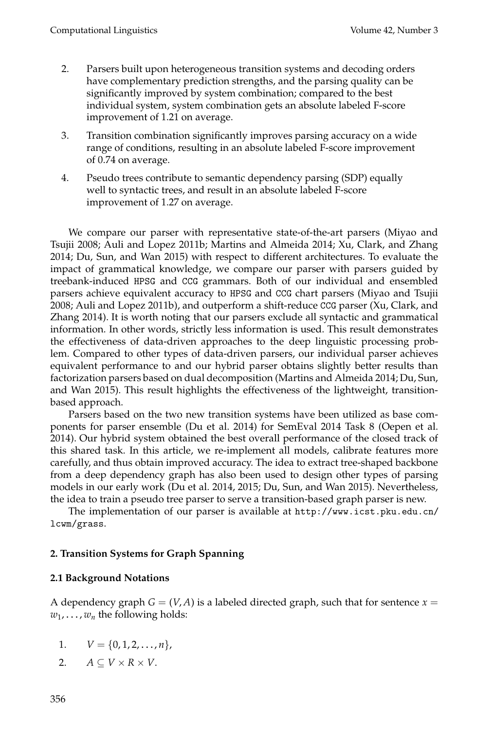- 2. Parsers built upon heterogeneous transition systems and decoding orders have complementary prediction strengths, and the parsing quality can be significantly improved by system combination; compared to the best individual system, system combination gets an absolute labeled F-score improvement of 1.21 on average.
- 3. Transition combination significantly improves parsing accuracy on a wide range of conditions, resulting in an absolute labeled F-score improvement of 0.74 on average.
- 4. Pseudo trees contribute to semantic dependency parsing (SDP) equally well to syntactic trees, and result in an absolute labeled F-score improvement of 1.27 on average.

We compare our parser with representative state-of-the-art parsers (Miyao and Tsujii 2008; Auli and Lopez 2011b; Martins and Almeida 2014; Xu, Clark, and Zhang 2014; Du, Sun, and Wan 2015) with respect to different architectures. To evaluate the impact of grammatical knowledge, we compare our parser with parsers guided by treebank-induced HPSG and CCG grammars. Both of our individual and ensembled parsers achieve equivalent accuracy to HPSG and CCG chart parsers (Miyao and Tsujii 2008; Auli and Lopez 2011b), and outperform a shift-reduce CCG parser (Xu, Clark, and Zhang 2014). It is worth noting that our parsers exclude all syntactic and grammatical information. In other words, strictly less information is used. This result demonstrates the effectiveness of data-driven approaches to the deep linguistic processing problem. Compared to other types of data-driven parsers, our individual parser achieves equivalent performance to and our hybrid parser obtains slightly better results than factorization parsers based on dual decomposition (Martins and Almeida 2014; Du, Sun, and Wan 2015). This result highlights the effectiveness of the lightweight, transitionbased approach.

Parsers based on the two new transition systems have been utilized as base components for parser ensemble (Du et al. 2014) for SemEval 2014 Task 8 (Oepen et al. 2014). Our hybrid system obtained the best overall performance of the closed track of this shared task. In this article, we re-implement all models, calibrate features more carefully, and thus obtain improved accuracy. The idea to extract tree-shaped backbone from a deep dependency graph has also been used to design other types of parsing models in our early work (Du et al. 2014, 2015; Du, Sun, and Wan 2015). Nevertheless, the idea to train a pseudo tree parser to serve a transition-based graph parser is new.

The implementation of our parser is available at http://www.icst.pku.edu.cn/ lcwm/grass.

## **2. Transition Systems for Graph Spanning**

## **2.1 Background Notations**

A dependency graph  $G = (V, A)$  is a labeled directed graph, such that for sentence  $x =$  $w_1, \ldots, w_n$  the following holds:

- 1.  $V = \{0, 1, 2, \ldots, n\},\$
- 2.  $A \subseteq V \times R \times V$ .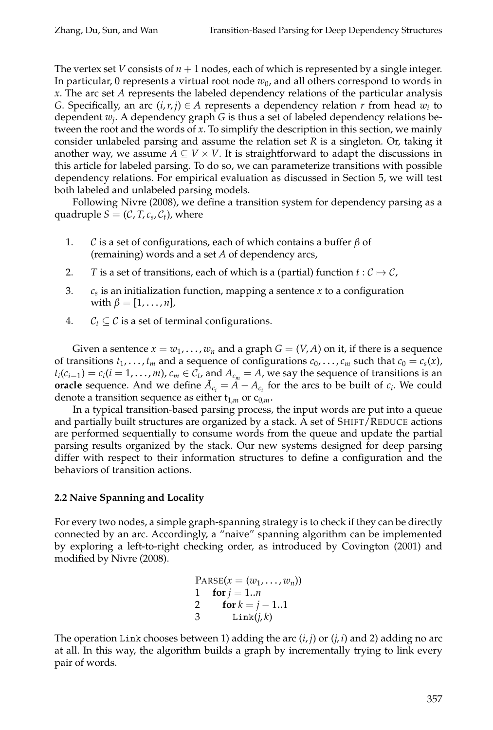The vertex set *V* consists of  $n + 1$  nodes, each of which is represented by a single integer. In particular, 0 represents a virtual root node  $w_0$ , and all others correspond to words in *x*. The arc set *A* represents the labeled dependency relations of the particular analysis *G*. Specifically, an arc  $(i, r, j) \in A$  represents a dependency relation *r* from head  $w_i$  to dependent  $w_i$ . A dependency graph *G* is thus a set of labeled dependency relations between the root and the words of *x*. To simplify the description in this section, we mainly consider unlabeled parsing and assume the relation set *R* is a singleton. Or, taking it another way, we assume  $A \subseteq V \times V$ . It is straightforward to adapt the discussions in this article for labeled parsing. To do so, we can parameterize transitions with possible dependency relations. For empirical evaluation as discussed in Section 5, we will test both labeled and unlabeled parsing models.

Following Nivre (2008), we define a transition system for dependency parsing as a quadruple  $S = (C, T, c<sub>s</sub>, C<sub>t</sub>)$ , where

- 1. C is a set of configurations, each of which contains a buffer *β* of (remaining) words and a set *A* of dependency arcs,
- 2. *T* is a set of transitions, each of which is a (partial) function  $t : \mathcal{C} \mapsto \mathcal{C}$ ,
- 3.  $c_s$  is an initialization function, mapping a sentence x to a configuration with  $\beta = [1, \ldots, n]$ ,
- 4.  $C_t \subseteq \mathcal{C}$  is a set of terminal configurations.

Given a sentence  $x = w_1, \ldots, w_n$  and a graph  $G = (V, A)$  on it, if there is a sequence of transitions  $t_1, \ldots, t_m$  and a sequence of configurations  $c_0, \ldots, c_m$  such that  $c_0 = c_s(x)$ ,  $t_i(c_{i-1}) = c_i(i = 1, \dots, m)$ ,  $c_m \in C_t$ , and  $A_{c_m} = A$ , we say the sequence of transitions is an **oracle** sequence. And we define  $\overline{A}_{c_i} = \overline{A} - A_{c_i}$  for the arcs to be built of  $c_i$ . We could denote a transition sequence as either  $t_{1,m}$  or  $c_{0,m}$ .

In a typical transition-based parsing process, the input words are put into a queue and partially built structures are organized by a stack. A set of SHIFT/REDUCE actions are performed sequentially to consume words from the queue and update the partial parsing results organized by the stack. Our new systems designed for deep parsing differ with respect to their information structures to define a configuration and the behaviors of transition actions.

## **2.2 Naive Spanning and Locality**

For every two nodes, a simple graph-spanning strategy is to check if they can be directly connected by an arc. Accordingly, a "naive" spanning algorithm can be implemented by exploring a left-to-right checking order, as introduced by Covington (2001) and modified by Nivre (2008).

> $\text{PARSE}(x = (w_1, \ldots, w_n))$ **for**  $j = 1..n$ **for**  $k = j - 1..1$ Link(*j*, *k*)

The operation Link chooses between 1) adding the arc  $(i, j)$  or  $(j, i)$  and 2) adding no arc at all. In this way, the algorithm builds a graph by incrementally trying to link every pair of words.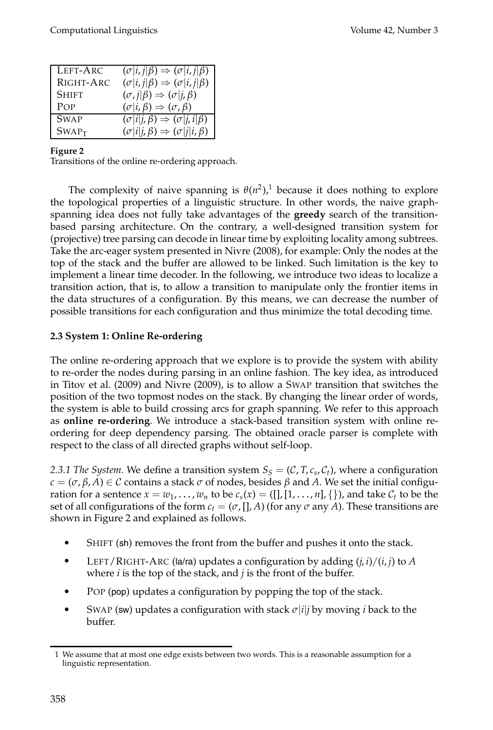| LEFT-ARC     | $(\sigma i, j \beta) \Rightarrow (\sigma i, j \beta)$ |
|--------------|-------------------------------------------------------|
| RIGHT-ARC    | $(\sigma i, j \beta) \Rightarrow (\sigma i, j \beta)$ |
| <b>SHIFT</b> | $(\sigma, j   \beta) \Rightarrow (\sigma   j, \beta)$ |
| <b>POP</b>   | $(\sigma i,\beta) \Rightarrow (\sigma,\beta)$         |
| <b>SWAP</b>  | $(\sigma i j,\beta) \Rightarrow (\sigma j,i \beta)$   |
| $SWAP_T$     | $(\sigma i j,\beta) \Rightarrow (\sigma j i,\beta)$   |

#### **Figure 2**

Transitions of the online re-ordering approach.

The complexity of naive spanning is  $\theta(n^2)$ ,<sup>1</sup> because it does nothing to explore the topological properties of a linguistic structure. In other words, the naive graphspanning idea does not fully take advantages of the **greedy** search of the transitionbased parsing architecture. On the contrary, a well-designed transition system for (projective) tree parsing can decode in linear time by exploiting locality among subtrees. Take the arc-eager system presented in Nivre (2008), for example: Only the nodes at the top of the stack and the buffer are allowed to be linked. Such limitation is the key to implement a linear time decoder. In the following, we introduce two ideas to localize a transition action, that is, to allow a transition to manipulate only the frontier items in the data structures of a configuration. By this means, we can decrease the number of possible transitions for each configuration and thus minimize the total decoding time.

## **2.3 System 1: Online Re-ordering**

The online re-ordering approach that we explore is to provide the system with ability to re-order the nodes during parsing in an online fashion. The key idea, as introduced in Titov et al. (2009) and Nivre (2009), is to allow a SWAP transition that switches the position of the two topmost nodes on the stack. By changing the linear order of words, the system is able to build crossing arcs for graph spanning. We refer to this approach as **online re-ordering**. We introduce a stack-based transition system with online reordering for deep dependency parsing. The obtained oracle parser is complete with respect to the class of all directed graphs without self-loop.

*2.3.1 The System.* We define a transition system  $S_S = (C, T, c_s, C_t)$ , where a configuration *c* = (*σ*, *β*, *A*) ∈ *C* contains a stack *σ* of nodes, besides *β* and *A*. We set the initial configuration for a sentence  $x = w_1, \ldots, w_n$  to be  $c_s(x) = (\iint_R [1, \ldots, n], \{\})$ , and take  $C_t$  to be the set of all configurations of the form  $c_t = (\sigma, []$ , *A*) (for any  $\sigma$  any *A*). These transitions are shown in Figure 2 and explained as follows.

- -SHIFT (sh) removes the front from the buffer and pushes it onto the stack.
- $\bullet$ LEFT/RIGHT-ARC (la/ra) updates a configuration by adding  $(i, i)/(i, j)$  to A where *i* is the top of the stack, and *j* is the front of the buffer.
- -POP (pop) updates a configuration by popping the top of the stack.
- - SWAP (sw) updates a configuration with stack *σ*|*i*|*j* by moving *i* back to the buffer.

<sup>1</sup> We assume that at most one edge exists between two words. This is a reasonable assumption for a linguistic representation.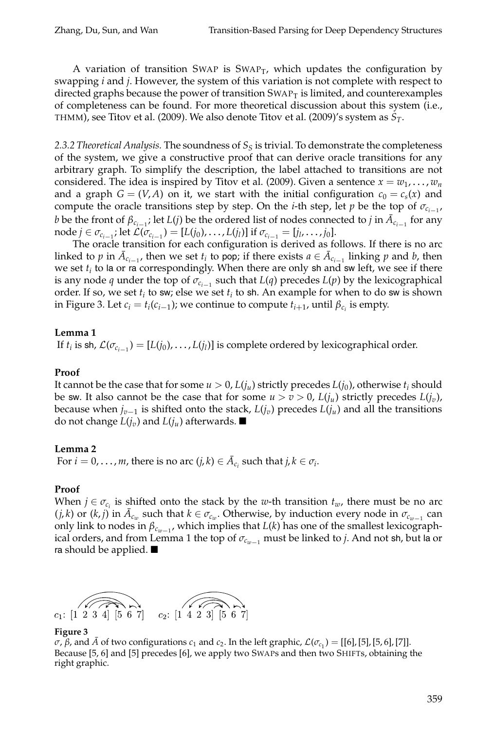A variation of transition SWAP is  $SWAP<sub>T</sub>$ , which updates the configuration by swapping *i* and *j*. However, the system of this variation is not complete with respect to directed graphs because the power of transition  $SWAP_T$  is limited, and counterexamples of completeness can be found. For more theoretical discussion about this system (i.e., THMM), see Titov et al. (2009). We also denote Titov et al. (2009)'s system as  $S_T$ .

2.3.2 Theoretical Analysis. The soundness of  $S<sub>S</sub>$  is trivial. To demonstrate the completeness of the system, we give a constructive proof that can derive oracle transitions for any arbitrary graph. To simplify the description, the label attached to transitions are not considered. The idea is inspired by Titov et al. (2009). Given a sentence  $x = w_1, \ldots, w_n$ and a graph  $G = (V, A)$  on it, we start with the initial configuration  $c_0 = c_s(x)$  and compute the oracle transitions step by step. On the *i*-th step, let *p* be the top of  $\sigma_{c_{i-1}}$ , *b* be the front of  $\beta_{c_{i-1}}$ ; let *L*(*j*) be the ordered list of nodes connected to *j* in  $\bar{A}_{c_{i-1}}$  for any  $\text{node } j \in \sigma_{c_{i-1}}$ ; let  $\mathcal{L}(\sigma_{c_{i-1}}) = [L(j_0), \dots, L(j_l)]$  if  $\sigma_{c_{i-1}} = [j_l, \dots, j_0]$ .

The oracle transition for each configuration is derived as follows. If there is no arc linked to *p* in  $\bar{A}_{c_{i-1}}$ , then we set  $t_i$  to pop; if there exists  $a \in \bar{A}_{c_{i-1}}$  linking *p* and *b*, then we set  $t_i$  to la or ra correspondingly. When there are only sh and sw left, we see if there is any node *q* under the top of  $\sigma_{c_{i-1}}$  such that *L*(*q*) precedes *L*(*p*) by the lexicographical order. If so, we set  $t_i$  to sw; else we set  $t_i$  to sh. An example for when to do sw is shown in Figure 3. Let  $c_i = t_i(c_{i-1})$ ; we continue to compute  $t_{i+1}$ , until  $\beta_{c_i}$  is empty.

## **Lemma 1**

If *t<sub>i</sub>* is sh,  $\mathcal{L}(\sigma_{c_{i-1}}) = [L(j_0), \dots, L(j_l)]$  is complete ordered by lexicographical order.

## **Proof**

It cannot be the case that for some  $u > 0$ ,  $L(i_u)$  strictly precedes  $L(i_0)$ , otherwise  $t_i$  should be sw. It also cannot be the case that for some  $u > v > 0$ ,  $L(i_u)$  strictly precedes  $L(i_v)$ , because when  $j_{v-1}$  is shifted onto the stack,  $L(j_v)$  precedes  $L(j_u)$  and all the transitions do not change  $L(j_v)$  and  $L(j_u)$  afterwards.  $\blacksquare$ 

## **Lemma 2**

For  $i = 0, \ldots, m$ , there is no arc  $(j, k) \in \bar{A}_{c_i}$  such that  $j, k \in \sigma_i$ .

## **Proof**

When  $j \in \sigma_{c_i}$  is shifted onto the stack by the *w*-th transition  $t_w$ , there must be no arc  $(j, k)$  or  $(k, j)$  in  $\bar{A}_{c_w}$  such that  $k \in \sigma_{c_w}$ . Otherwise, by induction every node in  $\sigma_{c_{w-1}}$  can only link to nodes in  $\beta_{c_{w-1}}$ , which implies that *L*(*k*) has one of the smallest lexicographical orders, and from Lemma 1 the top of  $\sigma_{c_{w-1}}$  must be linked to *j*. And not sh, but la or ra should be applied.  $\blacksquare$ 



#### **Figure 3**

*σ*, *β*, and *Ā* of two configurations *c*<sub>1</sub> and *c*<sub>2</sub>. In the left graphic,  $\mathcal{L}(\sigma_{c_1}) = [[6], [5], [5, 6], [7]]$ . Because [5, 6] and [5] precedes [6], we apply two SWAPs and then two SHIFTs, obtaining the right graphic.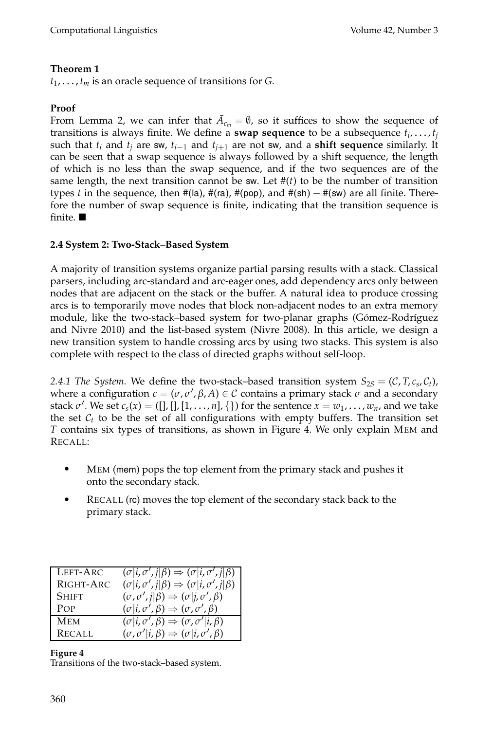# **Theorem 1**

 $t_1, \ldots, t_m$  is an oracle sequence of transitions for *G*.

# **Proof**

From Lemma 2, we can infer that  $\bar{A}_{c_m} = \emptyset$ , so it suffices to show the sequence of transitions is always finite. We define a **swap sequence** to be a subsequence  $t_i, \ldots, t_i$ such that  $t_i$  and  $t_j$  are sw,  $t_{i-1}$  and  $t_{i+1}$  are not sw, and a **shift sequence** similarly. It can be seen that a swap sequence is always followed by a shift sequence, the length of which is no less than the swap sequence, and if the two sequences are of the same length, the next transition cannot be sw. Let  $#(t)$  to be the number of transition types *t* in the sequence, then  $#(a)$ ,  $#(ra)$ ,  $#(pop)$ , and  $#(sh) - #(sw)$  are all finite. Therefore the number of swap sequence is finite, indicating that the transition sequence is finite.  $\blacksquare$ 

## **2.4 System 2: Two-Stack–Based System**

A majority of transition systems organize partial parsing results with a stack. Classical parsers, including arc-standard and arc-eager ones, add dependency arcs only between nodes that are adjacent on the stack or the buffer. A natural idea to produce crossing arcs is to temporarily move nodes that block non-adjacent nodes to an extra memory module, like the two-stack–based system for two-planar graphs (Gómez-Rodríguez and Nivre 2010) and the list-based system (Nivre 2008). In this article, we design a new transition system to handle crossing arcs by using two stacks. This system is also complete with respect to the class of directed graphs without self-loop.

2.4.1 The System. We define the two-stack–based transition system  $S_{25} = (C, T, c_s, C_t)$ , where a configuration  $c = (\sigma, \sigma', \beta, A) \in \mathcal{C}$  contains a primary stack  $\sigma$  and a secondary stack  $\sigma'$ . We set  $c_s(x) = ([], [], [1, \ldots, n], \{\})$  for the sentence  $x = w_1, \ldots, w_n$ , and we take the set  $C_t$  to be the set of all configurations with empty buffers. The transition set *T* contains six types of transitions, as shown in Figure 4. We only explain MEM and RECALL:

- - MEM (mem) pops the top element from the primary stack and pushes it onto the secondary stack.
- - RECALL (rc) moves the top element of the secondary stack back to the primary stack.

| LEFT-ARC      | $(\sigma i, \sigma', j \beta) \Rightarrow (\sigma i, \sigma', j \beta)$    |
|---------------|----------------------------------------------------------------------------|
| RIGHT-ARC     | $(\sigma i, \sigma', j \beta) \Rightarrow (\sigma i, \sigma', j \beta)$    |
| <b>SHIFT</b>  | $(\sigma, \sigma', j   \beta) \Rightarrow (\sigma   j, \sigma', \beta)$    |
| <b>POP</b>    | $(\sigma i, \sigma', \beta) \Rightarrow (\sigma, \sigma', \beta)$          |
| <b>MEM</b>    | $\overline{(\sigma i,\sigma',\beta)} \Rightarrow (\sigma,\sigma' i,\beta)$ |
| <b>RECALL</b> | $(\sigma, \sigma' i, \beta) \Rightarrow (\sigma i, \sigma', \beta)$        |

**Figure 4**

Transitions of the two-stack–based system.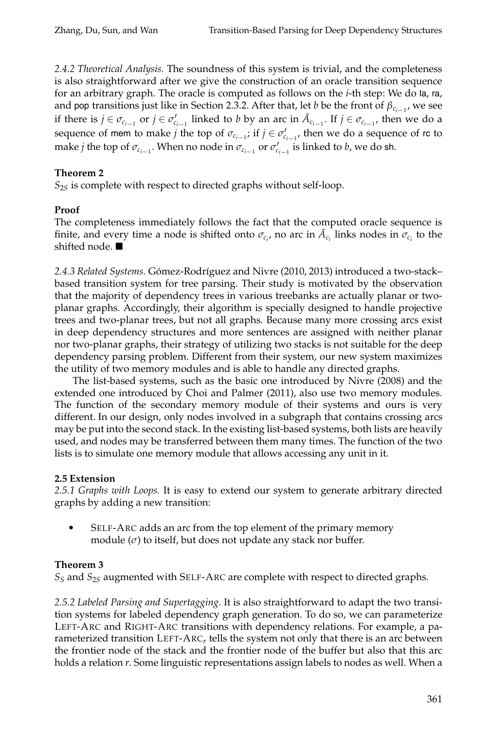*2.4.2 Theoretical Analysis.* The soundness of this system is trivial, and the completeness is also straightforward after we give the construction of an oracle transition sequence for an arbitrary graph. The oracle is computed as follows on the *i*-th step: We do la, ra, and pop transitions just like in Section 2.3.2. After that, let *b* be the front of  $\beta_{c_{i-1}}$ , we see if there is  $j \in \sigma_{c_{i-1}}$  or  $j \in \sigma'_{c_{i-1}}$  linked to *b* by an arc in  $\bar{A}_{c_{i-1}}$ . If  $j \in \sigma_{c_{i-1}}$ , then we do a sequence of mem to make *j* the top of  $\sigma_{c_{i-1}}$ ; if  $j \in \sigma'_{c_{i-1}}$ , then we do a sequence of rc to make *j* the top of  $\sigma_{c_{i-1}}$ . When no node in  $\sigma_{c_{i-1}}$  or  $\sigma'_{c_{i-1}}$  is linked to *b*, we do sh.

## **Theorem 2**

*S*2*<sup>S</sup>* is complete with respect to directed graphs without self-loop.

# **Proof**

The completeness immediately follows the fact that the computed oracle sequence is finite, and every time a node is shifted onto  $\sigma_{c_i}$ , no arc in  $\bar{A}_{c_i}$  links nodes in  $\sigma_{c_i}$  to the shifted node.  $\blacksquare$ 

2.4.3 Related Systems. Gómez-Rodríguez and Nivre (2010, 2013) introduced a two-stack– based transition system for tree parsing. Their study is motivated by the observation that the majority of dependency trees in various treebanks are actually planar or twoplanar graphs. Accordingly, their algorithm is specially designed to handle projective trees and two-planar trees, but not all graphs. Because many more crossing arcs exist in deep dependency structures and more sentences are assigned with neither planar nor two-planar graphs, their strategy of utilizing two stacks is not suitable for the deep dependency parsing problem. Different from their system, our new system maximizes the utility of two memory modules and is able to handle any directed graphs.

The list-based systems, such as the basic one introduced by Nivre (2008) and the extended one introduced by Choi and Palmer (2011), also use two memory modules. The function of the secondary memory module of their systems and ours is very different. In our design, only nodes involved in a subgraph that contains crossing arcs may be put into the second stack. In the existing list-based systems, both lists are heavily used, and nodes may be transferred between them many times. The function of the two lists is to simulate one memory module that allows accessing any unit in it.

## **2.5 Extension**

*2.5.1 Graphs with Loops.* It is easy to extend our system to generate arbitrary directed graphs by adding a new transition:

 $\bullet$  SELF-ARC adds an arc from the top element of the primary memory module  $(\sigma)$  to itself, but does not update any stack nor buffer.

# **Theorem 3**

*SS* and *S*2*<sup>S</sup>* augmented with SELF-ARC are complete with respect to directed graphs.

*2.5.2 Labeled Parsing and Supertagging.* It is also straightforward to adapt the two transition systems for labeled dependency graph generation. To do so, we can parameterize LEFT-ARC and RIGHT-ARC transitions with dependency relations. For example, a parameterized transition LEFT-ARC*<sup>r</sup>* tells the system not only that there is an arc between the frontier node of the stack and the frontier node of the buffer but also that this arc holds a relation *r*. Some linguistic representations assign labels to nodes as well. When a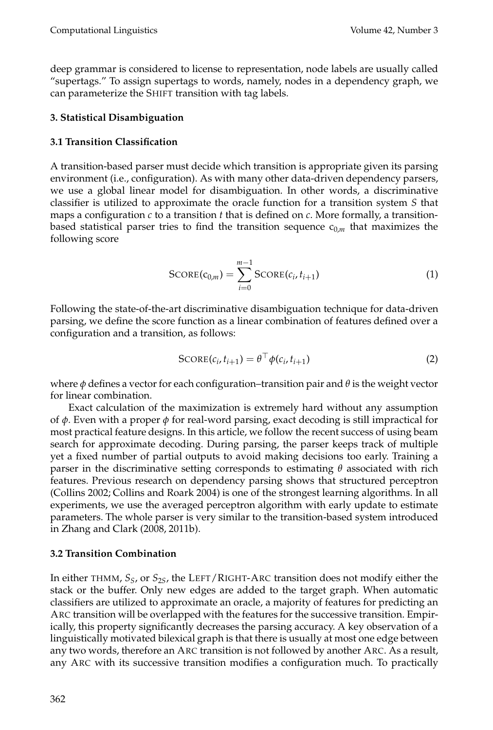deep grammar is considered to license to representation, node labels are usually called "supertags." To assign supertags to words, namely, nodes in a dependency graph, we can parameterize the SHIFT transition with tag labels.

## **3. Statistical Disambiguation**

# **3.1 Transition Classification**

A transition-based parser must decide which transition is appropriate given its parsing environment (i.e., configuration). As with many other data-driven dependency parsers, we use a global linear model for disambiguation. In other words, a discriminative classifier is utilized to approximate the oracle function for a transition system *S* that maps a configuration *c* to a transition *t* that is defined on *c*. More formally, a transitionbased statistical parser tries to find the transition sequence  $c_{0,m}$  that maximizes the following score

$$
SCORE(c_{0,m}) = \sum_{i=0}^{m-1} SCORE(c_i, t_{i+1})
$$
\n(1)

Following the state-of-the-art discriminative disambiguation technique for data-driven parsing, we define the score function as a linear combination of features defined over a configuration and a transition, as follows:

$$
SCORE(c_i, t_{i+1}) = \theta^\top \phi(c_i, t_{i+1})
$$
\n(2)

where *φ* defines a vector for each configuration–transition pair and *θ* is the weight vector for linear combination.

Exact calculation of the maximization is extremely hard without any assumption of *φ*. Even with a proper *φ* for real-word parsing, exact decoding is still impractical for most practical feature designs. In this article, we follow the recent success of using beam search for approximate decoding. During parsing, the parser keeps track of multiple yet a fixed number of partial outputs to avoid making decisions too early. Training a parser in the discriminative setting corresponds to estimating *θ* associated with rich features. Previous research on dependency parsing shows that structured perceptron (Collins 2002; Collins and Roark 2004) is one of the strongest learning algorithms. In all experiments, we use the averaged perceptron algorithm with early update to estimate parameters. The whole parser is very similar to the transition-based system introduced in Zhang and Clark (2008, 2011b).

## **3.2 Transition Combination**

In either THMM,  $S_S$ , or  $S_{2S}$ , the LEFT/RIGHT-ARC transition does not modify either the stack or the buffer. Only new edges are added to the target graph. When automatic classifiers are utilized to approximate an oracle, a majority of features for predicting an ARC transition will be overlapped with the features for the successive transition. Empirically, this property significantly decreases the parsing accuracy. A key observation of a linguistically motivated bilexical graph is that there is usually at most one edge between any two words, therefore an ARC transition is not followed by another ARC. As a result, any ARC with its successive transition modifies a configuration much. To practically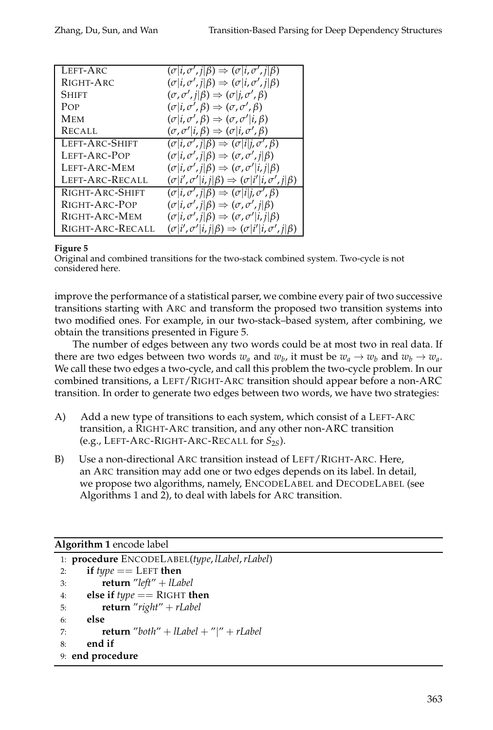| LEFT-ARC         | $(\sigma i, \sigma', j \beta) \Rightarrow (\sigma i, \sigma', j \beta)$       |
|------------------|-------------------------------------------------------------------------------|
| RIGHT-ARC        | $(\sigma i, \sigma', j \beta) \Rightarrow (\sigma i, \sigma', j \beta)$       |
| <b>SHIFT</b>     | $(\sigma, \sigma', j   \beta) \Rightarrow (\sigma   j, \sigma', \beta)$       |
| <b>POP</b>       | $(\sigma i, \sigma', \beta) \Rightarrow (\sigma, \sigma', \beta)$             |
| <b>MEM</b>       | $(\sigma i, \sigma', \beta) \Rightarrow (\sigma, \sigma' i, \beta)$           |
| RECALL           | $(\sigma, \sigma' i, \beta) \Rightarrow (\sigma i, \sigma', \beta)$           |
| LEFT-ARC-SHIFT   | $(\sigma i, \sigma', j \beta) \Rightarrow (\sigma i j, \sigma', \beta)$       |
| LEFT-ARC-POP     | $(\sigma i, \sigma', j \beta) \Rightarrow (\sigma, \sigma', j \beta)$         |
| LEFT-ARC-MEM     | $(\sigma i, \sigma', j \beta) \Rightarrow (\sigma, \sigma' i, j \beta)$       |
| LEFT-ARC-RECALL  | $(\sigma i', \sigma' i, j \beta) \Rightarrow (\sigma i' i, \sigma', j \beta)$ |
| RIGHT-ARC-SHIFT  | $(\sigma i, \sigma', j \beta) \Rightarrow (\sigma i j, \sigma', \beta)$       |
| RIGHT-ARC-POP    | $(\sigma i, \sigma', j \beta) \Rightarrow (\sigma, \sigma', j \beta)$         |
| RIGHT-ARC-MEM    | $(\sigma i, \sigma', j \beta) \Rightarrow (\sigma, \sigma' i, j \beta)$       |
| RIGHT-ARC-RECALL | $(\sigma i', \sigma' i, j \beta) \Rightarrow (\sigma i' i, \sigma', j \beta)$ |

#### **Figure 5**

Original and combined transitions for the two-stack combined system. Two-cycle is not considered here.

improve the performance of a statistical parser, we combine every pair of two successive transitions starting with ARC and transform the proposed two transition systems into two modified ones. For example, in our two-stack–based system, after combining, we obtain the transitions presented in Figure 5.

The number of edges between any two words could be at most two in real data. If there are two edges between two words  $w_a$  and  $w_b$ , it must be  $w_a \rightarrow w_b$  and  $w_b \rightarrow w_a$ . We call these two edges a two-cycle, and call this problem the two-cycle problem. In our combined transitions, a LEFT/RIGHT-ARC transition should appear before a non-ARC transition. In order to generate two edges between two words, we have two strategies:

- A) Add a new type of transitions to each system, which consist of a LEFT-ARC transition, a RIGHT-ARC transition, and any other non-ARC transition (e.g., LEFT-ARC-RIGHT-ARC-RECALL for  $S_{2S}$ ).
- B) Use a non-directional ARC transition instead of LEFT/RIGHT-ARC. Here, an ARC transition may add one or two edges depends on its label. In detail, we propose two algorithms, namely, ENCODELABEL and DECODELABEL (see Algorithms 1 and 2), to deal with labels for ARC transition.

## **Algorithm 1** encode label

```
1: procedure ENCODELABEL(type, lLabel,rLabel)
2: if type == LEFT then
3: return "left" + lLabel
4: else if type == RIGHT then
5: return "right" + rLabel
6: else
7: return "both" + lLabel + "|" + rLabel
8: end if
9: end procedure
```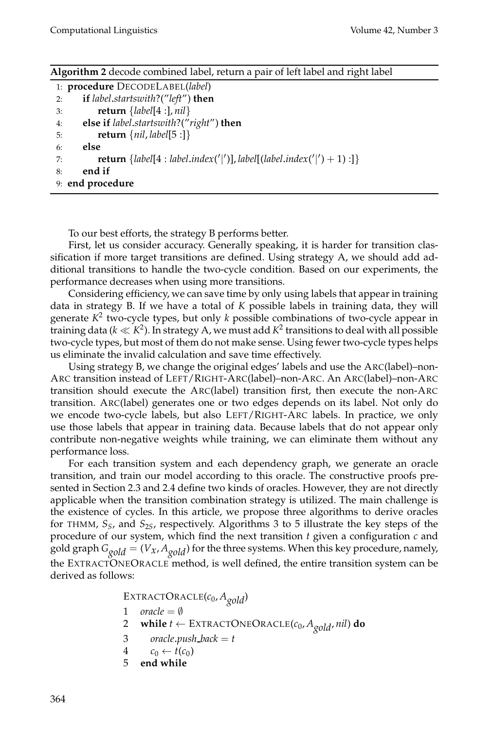| if label.startswith?("left") then                                            |                                                                     |
|------------------------------------------------------------------------------|---------------------------------------------------------------------|
| return $\{label[4:]}$ [4 :], nil]                                            |                                                                     |
| else if label.startswith?("right") then                                      |                                                                     |
| return $\{nil, label[5:]\}$                                                  |                                                                     |
| else                                                                         |                                                                     |
| <b>return</b> {label[4 : label.index(' ')], label[(label.index(' ') + 1) :]} |                                                                     |
| end if                                                                       |                                                                     |
|                                                                              |                                                                     |
|                                                                              | 1: <b>procedure</b> DECODELABEL( <i>label</i> )<br>9: end procedure |

| Algorithm 2 decode combined label, return a pair of left label and right label |  |  |
|--------------------------------------------------------------------------------|--|--|
|--------------------------------------------------------------------------------|--|--|

To our best efforts, the strategy B performs better.

First, let us consider accuracy. Generally speaking, it is harder for transition classification if more target transitions are defined. Using strategy A, we should add additional transitions to handle the two-cycle condition. Based on our experiments, the performance decreases when using more transitions.

Considering efficiency, we can save time by only using labels that appear in training data in strategy B. If we have a total of *K* possible labels in training data, they will generate *K*<sup>2</sup> two-cycle types, but only *k* possible combinations of two-cycle appear in training data ( $k \ll K^2$ ). In strategy A, we must add  $K^2$  transitions to deal with all possible two-cycle types, but most of them do not make sense. Using fewer two-cycle types helps us eliminate the invalid calculation and save time effectively.

Using strategy B, we change the original edges' labels and use the ARC(label)–non-ARC transition instead of LEFT/RIGHT-ARC(label)–non-ARC. An ARC(label)–non-ARC transition should execute the ARC(label) transition first, then execute the non-ARC transition. ARC(label) generates one or two edges depends on its label. Not only do we encode two-cycle labels, but also LEFT/RIGHT-ARC labels. In practice, we only use those labels that appear in training data. Because labels that do not appear only contribute non-negative weights while training, we can eliminate them without any performance loss.

For each transition system and each dependency graph, we generate an oracle transition, and train our model according to this oracle. The constructive proofs presented in Section 2.3 and 2.4 define two kinds of oracles. However, they are not directly applicable when the transition combination strategy is utilized. The main challenge is the existence of cycles. In this article, we propose three algorithms to derive oracles for THMM, *SS*, and *S*2*S*, respectively. Algorithms 3 to 5 illustrate the key steps of the procedure of our system, which find the next transition *t* given a configuration *c* and gold graph  $G_{gold} = (V_x, A_{gold})$  for the three systems. When this key procedure, namely, the EXTRACTONEORACLE method, is well defined, the entire transition system can be derived as follows:

EXTRACTORACLE(*c*0, *Agold*)

- 1 *oracle*  $=$  Ø
- 2 **while**  $t \leftarrow \text{EXTRACTONEORACLE}(c_0, A_{gold}, nil)$  **do**
- 3 *oracle*.*push back* = *t*
- $4$  *c*<sub>0</sub> ← *t*(*c*<sub>0</sub>)<br>5 **end while**
- 5 **end while**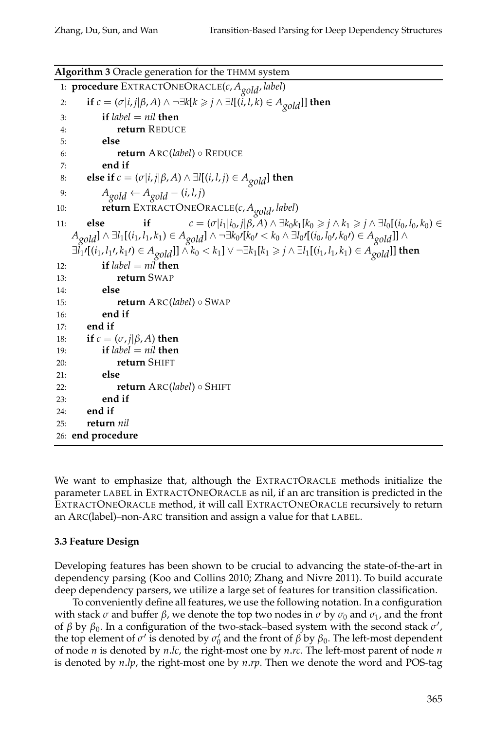| Algorithm 3 Oracle generation for the THMM system |  |  |
|---------------------------------------------------|--|--|
|---------------------------------------------------|--|--|

```
1: procedure EXTRACTONEORACLE(c, Agold, label)
 2: if c = (\sigma | i, j | \beta, A) \land \neg \exists k [k \geq j \land \exists l [(\tilde{i}, l, k) \in A_{gold}]] then
 3: if label = nil then
 4: return REDUCE
 5: else
 6: return ARC(label) ◦ REDUCE
 7: end if
 8: else if c = (\sigma | i, j | \beta, A) \land \exists l [(i, l, j) \in A_{gold}] then
 9: A_{gold} \leftarrow A_{gold} - (i, l, j)10: return EXTRACTONEORACLE(c, Agold, label)
11: else if c = (σ|i_1|i_0,j|β, A) ∧ ∃k_0k_1[k_0 ≥ j ∧ k_1 ≥ j ∧ ∃l_0[(i_0, l_0, k_0) ∈A<sub>gold</sub>] ∧ ∃l<sub>1</sub>[(i<sub>1</sub>, l<sub>1</sub>, k<sub>1</sub>) ∈ A<sub>gold</sub>] ∧ ¬∃k<sub>0</sub>'[k<sub>0</sub>' < k<sub>0</sub> ∧ ∃l<sub>0</sub>'[(i<sub>0</sub>, l<sub>0</sub>', k<sub>0</sub>') ∈ A<sub>gold</sub>]] ∧
    ∃l1[(i1, l1, k1) ∈ Agold]] ∧ k0 < k1] ∨ ¬∃k1[k1  j ∧ ∃l1[(i1, l1, k1) ∈ Agold]] then
12: if label = nil then
13: return SWAP
14: else
15: return ARC(label) ◦ SWAP
16: end if
17: end if
18: if c = (\sigma, j | \beta, A) then
19: if label = nil then
20: return SHIFT
21: else
22: return ARC(label) ◦ SHIFT
23: end if
24: end if
25: return nil
26: end procedure
```
We want to emphasize that, although the EXTRACTORACLE methods initialize the parameter LABEL in EXTRACTONEORACLE as nil, if an arc transition is predicted in the EXTRACTONEORACLE method, it will call EXTRACTONEORACLE recursively to return an ARC(label)–non-ARC transition and assign a value for that LABEL.

## **3.3 Feature Design**

Developing features has been shown to be crucial to advancing the state-of-the-art in dependency parsing (Koo and Collins 2010; Zhang and Nivre 2011). To build accurate deep dependency parsers, we utilize a large set of features for transition classification.

To conveniently define all features, we use the following notation. In a configuration with stack *σ* and buffer *β*, we denote the top two nodes in *σ* by  $σ_0$  and  $σ_1$ , and the front of β by β<sub>0</sub>. In a configuration of the two-stack–based system with the second stack  $\sigma'$ , the top element of  $\sigma'$  is denoted by  $\sigma'_0$  and the front of *β* by  $\beta_0$ . The left-most dependent of node *n* is denoted by *n*.*lc*, the right-most one by *n*.*rc*. The left-most parent of node *n* is denoted by *n*.*lp*, the right-most one by *n*.*rp*. Then we denote the word and POS-tag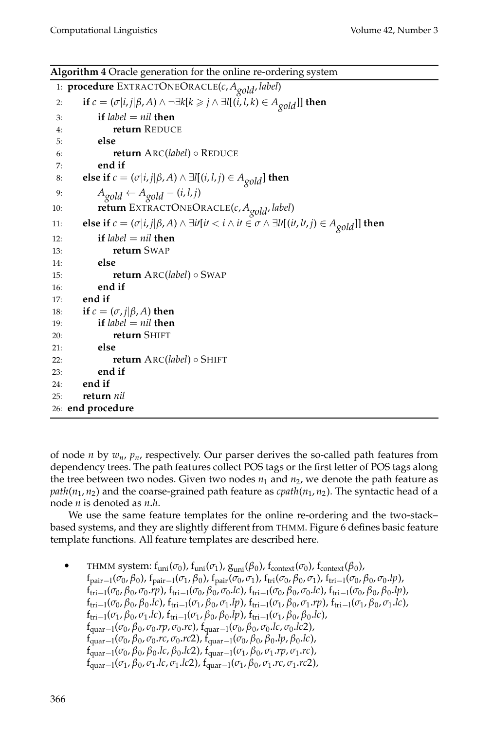|  |  |  | Algorithm 4 Oracle generation for the online re-ordering system |
|--|--|--|-----------------------------------------------------------------|
|--|--|--|-----------------------------------------------------------------|

```
1: procedure EXTRACTONEORACLE(c, Agold, label)
 2: if c = (\sigma | i, j | \beta, A) \land \neg \exists k [k \geq j \land \exists l [i, l, k) \in A_{\text{gold}}]] then
 3: if label = nil then
 4: return REDUCE
 5: else
 6: return ARC(label) ◦ REDUCE
 7: end if
 8: else if c = (\sigma | i, j | \beta, A) \land \exists l [(i, l, j) \in A_{gold}] then
 9: A_{gold} ← A_{gold} − (i, l, j)
10: return EXTRACTONEORACLE(c, Agold, label)
11: else if c = (\sigma | i, j | \beta, A) \land \exists i / [i' < i \land i' \in \sigma \land \exists l / [(i', l', j) \in A_{\text{gold}}]] then
12: if label = nil then
13: return SWAP
14: else
15: return ARC(label) ◦ SWAP
16: end if
17: end if
18: if c = (\sigma, j | \beta, A) then
19: if label = nil then
20: return SHIFT
21: else
22: return ARC(label) ◦ SHIFT
23: end if
24: end if
25: return nil
26: end procedure
```
of node *n* by  $w_n$ ,  $p_n$ , respectively. Our parser derives the so-called path features from dependency trees. The path features collect POS tags or the first letter of POS tags along the tree between two nodes. Given two nodes  $n_1$  and  $n_2$ , we denote the path feature as *path*( $n_1$ ,  $n_2$ ) and the coarse-grained path feature as *cpath*( $n_1$ ,  $n_2$ ). The syntactic head of a node *n* is denoted as *n*.*h*.

We use the same feature templates for the online re-ordering and the two-stack– based systems, and they are slightly different from THMM. Figure 6 defines basic feature template functions. All feature templates are described here.

-THMM system:  $f_{\text{uni}}(\sigma_0)$ ,  $f_{\text{uni}}(\sigma_1)$ ,  $g_{\text{uni}}(\beta_0)$ ,  $f_{\text{context}}(\sigma_0)$ ,  $f_{\text{context}}(\beta_0)$ ,  $f_{pair-1}(\sigma_0, \beta_0)$ ,  $f_{pair-1}(\sigma_1, \beta_0)$ ,  $f_{pair}(\sigma_0, \sigma_1)$ ,  $f_{tri}(\sigma_0, \beta_0, \sigma_1)$ ,  $f_{tri-1}(\sigma_0, \beta_0, \sigma_0.$ *lp*), ftri−l(*σ*0, *β*0, *σ*0.*rp*), ftri−l(*σ*0, *β*0, *σ*0.*lc*), ftri−l(*σ*0, *β*0, *σ*0.*lc*), ftri−l(*σ*0, *β*0, *β*0.*lp*), ftri−l(*σ*0, *β*0, *β*0.*lc*), ftri−l(*σ*1, *β*0, *σ*1.*lp*), ftri−l(*σ*1, *β*0, *σ*1.*rp*), ftri−l(*σ*1, *β*0, *σ*1.*lc*),  $f_{tri-1}(\sigma_1, \beta_0, \sigma_1.lc)$ ,  $f_{tri-1}(\sigma_1, \beta_0, \beta_0.lp)$ ,  $f_{tri-1}(\sigma_1, \beta_0, \beta_0.lc)$ , fquar−l(*σ*0, *β*0, *σ*0.*rp*, *σ*0.*rc*), fquar−l(*σ*0, *β*0, *σ*0.*lc*, *σ*0.*lc*2), fquar−l(*σ*0, *β*0, *σ*0.*rc*, *σ*0.*rc*2), fquar−l(*σ*0, *β*0, *β*0.*lp*, *β*0.*lc*), fquar−l(*σ*0, *β*0, *β*0.*lc*, *β*0.*lc*2), fquar−l(*σ*1, *β*0, *σ*1.*rp*, *σ*1.*rc*), fquar−l(*σ*1, *β*0, *σ*1.*lc*, *σ*1.*lc*2), fquar−l(*σ*1, *β*0, *σ*1.*rc*, *σ*1.*rc*2),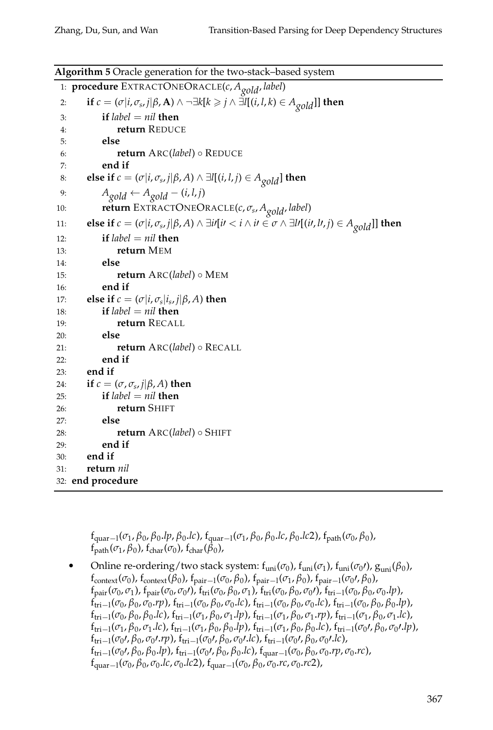| Algorithm 5 Oracle generation for the two-stack-based system |  |
|--------------------------------------------------------------|--|
|--------------------------------------------------------------|--|

```
1: procedure EXTRACTONEORACLE(c, Agold, label)
 2: if c = (\sigma | i, \sigma_s, j | \beta, \mathbf{A}) \wedge \neg \exists k [k \geq j \wedge \exists l [(i, l, k) \in A_{\text{gold}}]] then
 3: if label = nil then
 4: return REDUCE
 5: else
 6: return ARC(label) ◦ REDUCE
 7: end if
 8: else if c = (\sigma | i, \sigma_s, j | \beta, A) \land \exists l [(i, l, j) \in A_{\text{gold}}] then
9: A_{gold} \leftarrow A_{gold} - (i, l, j)10: return EXTRACTONEORACLE(c, σs, Agold, label)
11: else if c = (\sigma | i, \sigma_s, j | \beta, A) \land \exists i / [i' < i \land i' \in \sigma \land \exists l / [(i, l', j) \in A_{\text{gold}}]] then
12: if label = nil then
13: return MEM
14: else
15: return ARC(label) ◦ MEM
16: end if
17: else if c = (\sigma | i, \sigma_s | i_s, j | \beta, A) then
18: if label = nil then
19: return RECALL
20: else
21: return ARC(label) ◦ RECALL
22: end if
23: end if
24: if c = (\sigma, \sigma_s, j | \beta, A) then
25: if label = nil then
26: return SHIFT
27: else
28: return ARC(label) ◦ SHIFT
29: end if
30: end if
31: return nil
32: end procedure
```
fquar−l(*σ*1, *β*0, *β*0.*lp*, *β*0.*lc*), fquar−l(*σ*1, *β*0, *β*0.*lc*, *β*0.*lc*2), fpath(*σ*0, *β*0),  $f_{\text{path}}(\sigma_1, \beta_0)$ ,  $f_{\text{char}}(\sigma_0)$ ,  $f_{\text{char}}(\beta_0)$ ,

-Online re-ordering/two stack system:  $f_{\text{uni}}(\sigma_0)$ ,  $f_{\text{uni}}(\sigma_1)$ ,  $f_{\text{uni}}(\sigma_0)$ ,  $g_{\text{uni}}(\beta_0)$ ,  $f_{\text{context}}(\sigma_0)$ ,  $f_{\text{context}}(\beta_0)$ ,  $f_{\text{pair}-1}(\sigma_0, \beta_0)$ ,  $f_{\text{pair}-1}(\sigma_1, \beta_0)$ ,  $f_{\text{pair}-1}(\sigma_0, \beta_0)$ ,  $f_{\text{pair}}(\sigma_0, \sigma_1)$ ,  $f_{\text{pair}}(\sigma_0, \sigma_0)$ ,  $f_{\text{tri}}(\sigma_0, \beta_0, \sigma_1)$ ,  $f_{\text{tri}}(\sigma_0, \beta_0, \sigma_0)$ ,  $f_{\text{tri}-1}(\sigma_0, \beta_0, \sigma_0.$ *lp*), ftri−l(*σ*0, *β*0, *σ*0.*rp*), ftri−l(*σ*0, *β*0, *σ*0.*lc*), ftri−l(*σ*0, *β*0, *σ*0.*lc*), ftri−l(*σ*0, *β*0, *β*0.*lp*),  $f_{tri-1}(\sigma_0, \beta_0, \beta_0, lc)$ ,  $f_{tri-1}(\sigma_1, \beta_0, \sigma_1, lp)$ ,  $f_{tri-1}(\sigma_1, \beta_0, \sigma_1, rp)$ ,  $f_{tri-1}(\sigma_1, \beta_0, \sigma_1, lc)$ ,  $f_{tri-1}(\sigma_1, \beta_0, \sigma_1.lc)$ ,  $f_{tri-1}(\sigma_1, \beta_0, \beta_0.lp)$ ,  $f_{tri-1}(\sigma_1, \beta_0, \beta_0.lc)$ ,  $f_{tri-1}(\sigma_0, \beta_0, \sigma_0, lp)$ ,  $f_{tri-1}(\sigma_0, \beta_0, \sigma_0, r)$ ,  $f_{tri-1}(\sigma_0, \beta_0, \sigma_0, \ldots)$ ,  $f_{tri-1}(\sigma_0, \beta_0, \sigma_0, \ldots)$ ,  $f_{tri-1}(\sigma_0, \beta_0, \beta_0, l_p)$ ,  $f_{tri-1}(\sigma_0, \beta_0, \beta_0, lc)$ ,  $f_{quar-1}(\sigma_0, \beta_0, \sigma_0, rep, σ_0, rc)$ , fquar−l(*σ*0, *β*0, *σ*0.*lc*, *σ*0.*lc*2), fquar−l(*σ*0, *β*0, *σ*0.*rc*, *σ*0.*rc*2),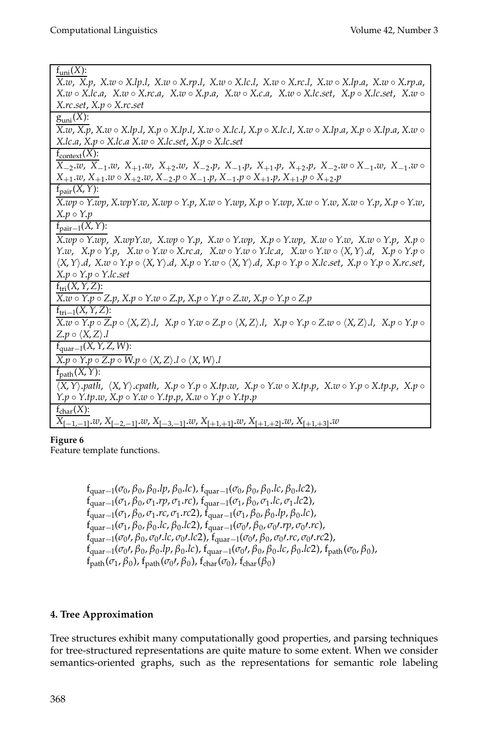| ٠ |  |
|---|--|
|   |  |

| $\frac{\text{nm}}{\text{nm}}$<br>X.w, X.p, X.w $\circ$ X.lp.l, X.w $\circ$ X.rp.l, X.w $\circ$ X.lc.l, X.w $\circ$ X.rc.l, X.w $\circ$ X.lp.a, X.w $\circ$ X.rp.a,                                                    |
|-----------------------------------------------------------------------------------------------------------------------------------------------------------------------------------------------------------------------|
| $X.w \circ X.lc.a, X.w \circ X.rc.a, X.w \circ X.p.a, X.w \circ X.c.a, X.w \circ X.lc.set, X.p \circ X.lc.set, X.w \circ X.lc.set)$                                                                                   |
| $X$ <i>rc.set</i> , $X$ <i>.p</i> $\circ$ $X$ <i>.rc.set</i>                                                                                                                                                          |
| $g_{\text{uni}}(X)$ :                                                                                                                                                                                                 |
| X.w, X.p, X.w ∘ X.lp.l, X.p ∘ X.lp.l, X.w ∘ X.lc.l, X.p ∘ X.lc.l, X.w ∘ X.lp.a, X.p ∘ X.lp.a, X.w ∘                                                                                                                   |
| X.lc.a, X.p $\circ$ X.lc.a X.w $\circ$ X.lc.set, X.p $\circ$ X.lc.set                                                                                                                                                 |
| $f_{\text{context}}(X)$ :                                                                                                                                                                                             |
| $X_{-2}.w, X_{-1}.w, X_{+1}.w, X_{+2}.w, X_{-2}.p, X_{-1}.p, X_{+1}.p, X_{+2}.p, X_{-2}.w \circ X_{-1}.w, X_{-1}.w \circ X_{-2}.w$                                                                                    |
| $X_{+1}.w, X_{+1}.w \circ X_{+2}.w, X_{-2}.p \circ X_{-1}.p, X_{-1}.p \circ X_{+1}.p, X_{+1}.p \circ X_{+2}.p$                                                                                                        |
| $f_{pair}(X, Y)$ :                                                                                                                                                                                                    |
| X.wp $\circ$ Y.wp, X.wpY.w, X.wp $\circ$ Y.p, X.w $\circ$ Y.wp, X.p $\circ$ Y.wp, X.w $\circ$ Y.w, X.w $\circ$ Y.p, X.p $\circ$ Y.w,                                                                                  |
| $X.p \circ Y.p$                                                                                                                                                                                                       |
| $f_{pair-1}(X, Y)$ :                                                                                                                                                                                                  |
| X.wp $\circ$ Y.wp, X.wpY.w, X.wp $\circ$ Y.p, X.w $\circ$ Y.wp, X.p $\circ$ Y.wp, X.w $\circ$ Y.w, X.w $\circ$ Y.p, X.p $\circ$                                                                                       |
|                                                                                                                                                                                                                       |
| $\langle X, Y \rangle$ .d, $X$ .w $\circ$ $Y$ .p $\circ$ $\langle X, Y \rangle$ .d, $X$ .p $\circ$ $Y$ .w $\circ$ $\langle X, Y \rangle$ .d, $X$ .p $\circ$ $Y$ .p $\circ$ $X$ .p $\circ$ $Y$ .p $\circ$ $X$ .rc.set, |
| $X.p \circ Y.p \circ Y.lc.set$                                                                                                                                                                                        |
| $f_{tri}(X, Y, Z)$ :                                                                                                                                                                                                  |
| $X.w \circ Y.p \circ Z.p$ , $X.p \circ Y.w \circ Z.p$ , $X.p \circ Y.p \circ Z.w$ , $X.p \circ Y.p \circ Z.p$                                                                                                         |
| $f_{tri-1}(X, Y, \overline{Z})$ :                                                                                                                                                                                     |
| $X.w \circ Y.p \circ Z.p \circ \langle X,Z \rangle.$ l, $X.p \circ Y.w \circ Z.p \circ \langle X,Z \rangle.$ l, $X.p \circ Y.p \circ Z.w \circ \langle X,Z \rangle.$ l, $X.p \circ Y.p \circ Z.w \circ Z.w$           |
| $Z.p \circ \langle X,Z \rangle.l$                                                                                                                                                                                     |
| $f_{\text{quar}-1}(X, Y, Z, W)$ :                                                                                                                                                                                     |
| $\overline{X.p \circ Y.p} \circ Z.p \circ W.p \circ \langle X,Z \rangle.l \circ \langle X,W \rangle.l$                                                                                                                |
| $f_{path}(X, Y)$ :                                                                                                                                                                                                    |
|                                                                                                                                                                                                                       |
| $Y, p \circ Y, tp, w, X, p \circ Y, w \circ Y, tp, p, X, w \circ Y, p \circ Y, tp, p$                                                                                                                                 |
| $f_{char}(X)$ :                                                                                                                                                                                                       |
| $X_{[-1,-1]}$ , w, $X_{[-2,-1]}$ , w, $X_{[-3,-1]}$ , w, $X_{[+1,+1]}$ , w, $X_{[+1,+2]}$ , w, $X_{[+1,+3]}$ , w                                                                                                      |

#### **Figure 6**

Feature template functions.

fquar−l(*σ*0, *β*0, *β*0.*lp*, *β*0.*lc*), fquar−l(*σ*0, *β*0, *β*0.*lc*, *β*0.*lc*2), fquar−l(*σ*1, *β*0, *σ*1.*rp*, *σ*1.*rc*), fquar−l(*σ*1, *β*0, *σ*1.*lc*, *σ*1.*lc*2),  $f_{\text{quar}-1}(\sigma_1, \beta_0, \sigma_1, rc, \sigma_1, rc2), f_{\text{quar}-1}(\sigma_1, \beta_0, \beta_0, lp, \beta_0, lc),$ fquar−l(*σ*1, *β*0, *β*0.*lc*, *β*0.*lc*2), fquar−l(*σ*0, *β*0, *σ*0.*rp*, *σ*0.*rc*), fquar−l(*σ*0, *β*0, *σ*0.*lc*, *σ*0.*lc*2), fquar−l(*σ*0, *β*0, *σ*0.*rc*, *σ*0.*rc*2), fquar−l(*σ*0, *β*0, *β*0.*lp*, *β*0.*lc*), fquar−l(*σ*0, *β*0, *β*0.*lc*, *β*0.*lc*2), fpath(*σ*0, *β*0),  $f_{\text{path}}(\sigma_1, \beta_0)$ ,  $f_{\text{path}}(\sigma_0, \beta_0)$ ,  $f_{\text{char}}(\sigma_0)$ ,  $f_{\text{char}}(\beta_0)$ 

## **4. Tree Approximation**

Tree structures exhibit many computationally good properties, and parsing techniques for tree-structured representations are quite mature to some extent. When we consider semantics-oriented graphs, such as the representations for semantic role labeling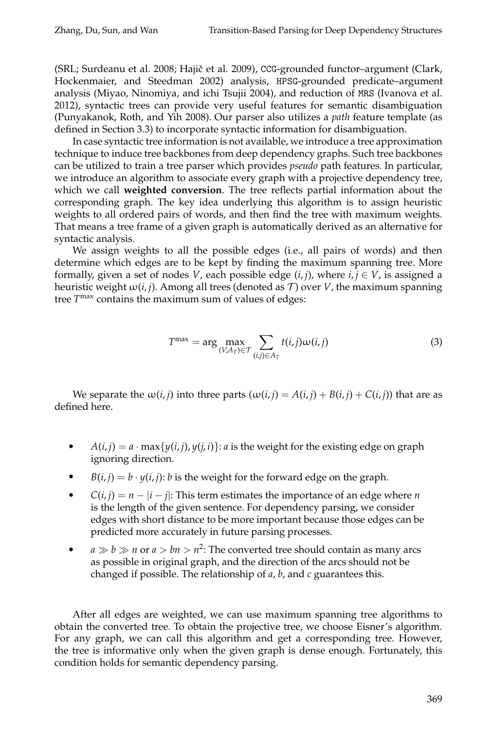(SRL; Surdeanu et al. 2008; Hajič et al. 2009), CCG-grounded functor-argument (Clark, Hockenmaier, and Steedman 2002) analysis, HPSG-grounded predicate–argument analysis (Miyao, Ninomiya, and ichi Tsujii 2004), and reduction of MRS (Ivanova et al. 2012), syntactic trees can provide very useful features for semantic disambiguation (Punyakanok, Roth, and Yih 2008). Our parser also utilizes a *path* feature template (as defined in Section 3.3) to incorporate syntactic information for disambiguation.

In case syntactic tree information is not available, we introduce a tree approximation technique to induce tree backbones from deep dependency graphs. Such tree backbones can be utilized to train a tree parser which provides *pseudo* path features. In particular, we introduce an algorithm to associate every graph with a projective dependency tree, which we call **weighted conversion**. The tree reflects partial information about the corresponding graph. The key idea underlying this algorithm is to assign heuristic weights to all ordered pairs of words, and then find the tree with maximum weights. That means a tree frame of a given graph is automatically derived as an alternative for syntactic analysis.

We assign weights to all the possible edges (i.e., all pairs of words) and then determine which edges are to be kept by finding the maximum spanning tree. More formally, given a set of nodes *V*, each possible edge  $(i, j)$ , where  $i, j \in V$ , is assigned a heuristic weight  $\omega(i, j)$ . Among all trees (denoted as  $\mathcal{T}$ ) over *V*, the maximum spanning tree  $T^{\text{max}}$  contains the maximum sum of values of edges:

$$
T^{\max} = \arg \max_{(V, A_T) \in \mathcal{T}} \sum_{(i,j) \in A_T} t(i,j) \omega(i,j)
$$
 (3)

We separate the  $\omega(i, j)$  into three parts  $(\omega(i, j) = A(i, j) + B(i, j) + C(i, j))$  that are as defined here.

- - $A(i, j) = a \cdot \max\{y(i, j), y(j, i)\}$ : *a* is the weight for the existing edge on graph ignoring direction.
- - $B(i, j) = b \cdot y(i, j)$ : *b* is the weight for the forward edge on the graph.
- $\bullet$  $C(i, j) = n - |i - j|$ : This term estimates the importance of an edge where *n* is the length of the given sentence. For dependency parsing, we consider edges with short distance to be more important because those edges can be predicted more accurately in future parsing processes.
- $a \gg b \gg n$  or  $a > bn > n^2$ : The converted tree should contain as many arcs as possible in original graph, and the direction of the arcs should not be changed if possible. The relationship of *a*, *b*, and *c* guarantees this.

After all edges are weighted, we can use maximum spanning tree algorithms to obtain the converted tree. To obtain the projective tree, we choose Eisner's algorithm. For any graph, we can call this algorithm and get a corresponding tree. However, the tree is informative only when the given graph is dense enough. Fortunately, this condition holds for semantic dependency parsing.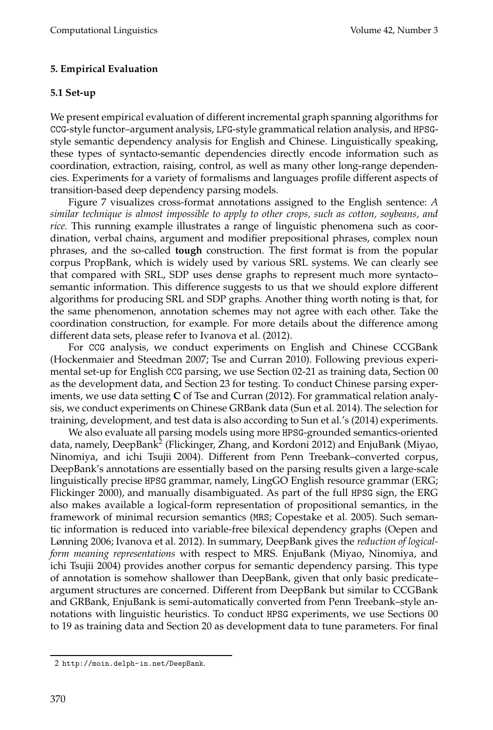## **5. Empirical Evaluation**

#### **5.1 Set-up**

We present empirical evaluation of different incremental graph spanning algorithms for CCG-style functor–argument analysis, LFG-style grammatical relation analysis, and HPSGstyle semantic dependency analysis for English and Chinese. Linguistically speaking, these types of syntacto-semantic dependencies directly encode information such as coordination, extraction, raising, control, as well as many other long-range dependencies. Experiments for a variety of formalisms and languages profile different aspects of transition-based deep dependency parsing models.

Figure 7 visualizes cross-format annotations assigned to the English sentence: *A similar technique is almost impossible to apply to other crops, such as cotton, soybeans, and rice*. This running example illustrates a range of linguistic phenomena such as coordination, verbal chains, argument and modifier prepositional phrases, complex noun phrases, and the so-called **tough** construction. The first format is from the popular corpus PropBank, which is widely used by various SRL systems. We can clearly see that compared with SRL, SDP uses dense graphs to represent much more syntacto– semantic information. This difference suggests to us that we should explore different algorithms for producing SRL and SDP graphs. Another thing worth noting is that, for the same phenomenon, annotation schemes may not agree with each other. Take the coordination construction, for example. For more details about the difference among different data sets, please refer to Ivanova et al. (2012).

For CCG analysis, we conduct experiments on English and Chinese CCGBank (Hockenmaier and Steedman 2007; Tse and Curran 2010). Following previous experimental set-up for English CCG parsing, we use Section 02-21 as training data, Section 00 as the development data, and Section 23 for testing. To conduct Chinese parsing experiments, we use data setting **C** of Tse and Curran (2012). For grammatical relation analysis, we conduct experiments on Chinese GRBank data (Sun et al. 2014). The selection for training, development, and test data is also according to Sun et al.'s (2014) experiments.

We also evaluate all parsing models using more HPSG-grounded semantics-oriented data, namely, DeepBank<sup>2</sup> (Flickinger, Zhang, and Kordoni 2012) and EnjuBank (Miyao, Ninomiya, and ichi Tsujii 2004). Different from Penn Treebank–converted corpus, DeepBank's annotations are essentially based on the parsing results given a large-scale linguistically precise HPSG grammar, namely, LingGO English resource grammar (ERG; Flickinger 2000), and manually disambiguated. As part of the full HPSG sign, the ERG also makes available a logical-form representation of propositional semantics, in the framework of minimal recursion semantics (MRS; Copestake et al. 2005). Such semantic information is reduced into variable-free bilexical dependency graphs (Oepen and Lønning 2006; Ivanova et al. 2012). In summary, DeepBank gives the *reduction of logicalform meaning representations* with respect to MRS. EnjuBank (Miyao, Ninomiya, and ichi Tsujii 2004) provides another corpus for semantic dependency parsing. This type of annotation is somehow shallower than DeepBank, given that only basic predicate– argument structures are concerned. Different from DeepBank but similar to CCGBank and GRBank, EnjuBank is semi-automatically converted from Penn Treebank–style annotations with linguistic heuristics. To conduct HPSG experiments, we use Sections 00 to 19 as training data and Section 20 as development data to tune parameters. For final

<sup>2</sup> http://moin.delph-in.net/DeepBank.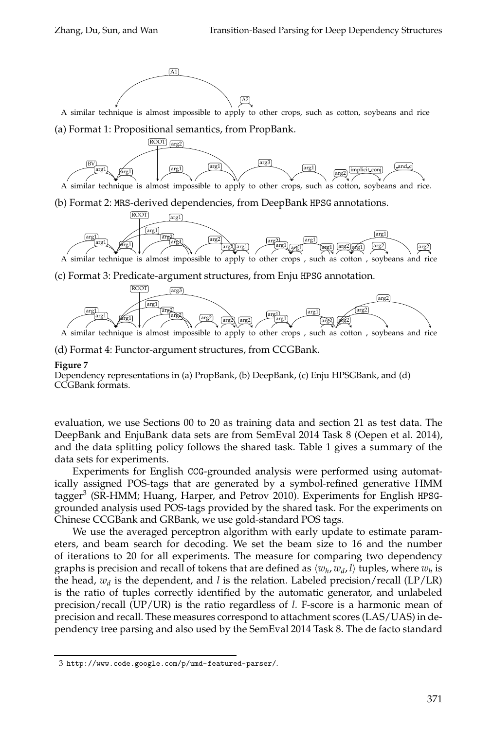

A similar technique is almost impossible to apply to other crops, such as cotton, soybeans and rice

(a) Format 1: Propositional semantics, from PropBank.



(b) Format 2: MRS-derived dependencies, from DeepBank HPSG annotations.



(c) Format 3: Predicate-argument structures, from Enju HPSG annotation.



(d) Format 4: Functor-argument structures, from CCGBank.

#### **Figure 7**

Dependency representations in (a) PropBank, (b) DeepBank, (c) Enju HPSGBank, and (d) CCGBank formats.

evaluation, we use Sections 00 to 20 as training data and section 21 as test data. The DeepBank and EnjuBank data sets are from SemEval 2014 Task 8 (Oepen et al. 2014), and the data splitting policy follows the shared task. Table 1 gives a summary of the data sets for experiments.

Experiments for English CCG-grounded analysis were performed using automatically assigned POS-tags that are generated by a symbol-refined generative HMM tagger<sup>3</sup> (SR-HMM; Huang, Harper, and Petrov 2010). Experiments for English HPSGgrounded analysis used POS-tags provided by the shared task. For the experiments on Chinese CCGBank and GRBank, we use gold-standard POS tags.

We use the averaged perceptron algorithm with early update to estimate parameters, and beam search for decoding. We set the beam size to 16 and the number of iterations to 20 for all experiments. The measure for comparing two dependency graphs is precision and recall of tokens that are defined as  $\langle w_h, w_d, l \rangle$  tuples, where  $w_h$  is the head,  $w_d$  is the dependent, and *l* is the relation. Labeled precision/recall (LP/LR) is the ratio of tuples correctly identified by the automatic generator, and unlabeled precision/recall (UP/UR) is the ratio regardless of *l*. F-score is a harmonic mean of precision and recall. These measures correspond to attachment scores (LAS/UAS) in dependency tree parsing and also used by the SemEval 2014 Task 8. The de facto standard

<sup>3</sup> http://www.code.google.com/p/umd-featured-parser/.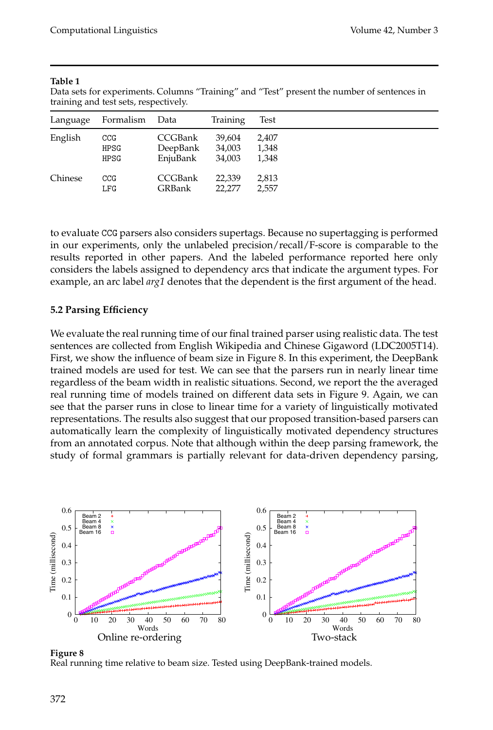Data sets for experiments. Columns "Training" and "Test" present the number of sentences in training and test sets, respectively.

| Language | Formalism           | Data                            | Training                   | Test                    |  |
|----------|---------------------|---------------------------------|----------------------------|-------------------------|--|
| English  | CCG<br>HPSG<br>HPSG | CCGBank<br>DeepBank<br>EnjuBank | 39,604<br>34,003<br>34,003 | 2,407<br>1,348<br>1,348 |  |
| Chinese  | <b>CCG</b><br>LFG   | <b>CCGBank</b><br>GRBank        | 22.339<br>22.277           | 2,813<br>2,557          |  |

to evaluate CCG parsers also considers supertags. Because no supertagging is performed in our experiments, only the unlabeled precision/recall/F-score is comparable to the results reported in other papers. And the labeled performance reported here only considers the labels assigned to dependency arcs that indicate the argument types. For example, an arc label *arg1* denotes that the dependent is the first argument of the head.

#### **5.2 Parsing Efficiency**

We evaluate the real running time of our final trained parser using realistic data. The test sentences are collected from English Wikipedia and Chinese Gigaword (LDC2005T14). First, we show the influence of beam size in Figure 8. In this experiment, the DeepBank trained models are used for test. We can see that the parsers run in nearly linear time regardless of the beam width in realistic situations. Second, we report the the averaged real running time of models trained on different data sets in Figure 9. Again, we can see that the parser runs in close to linear time for a variety of linguistically motivated representations. The results also suggest that our proposed transition-based parsers can automatically learn the complexity of linguistically motivated dependency structures from an annotated corpus. Note that although within the deep parsing framework, the study of formal grammars is partially relevant for data-driven dependency parsing,



**Figure 8**

Real running time relative to beam size. Tested using DeepBank-trained models.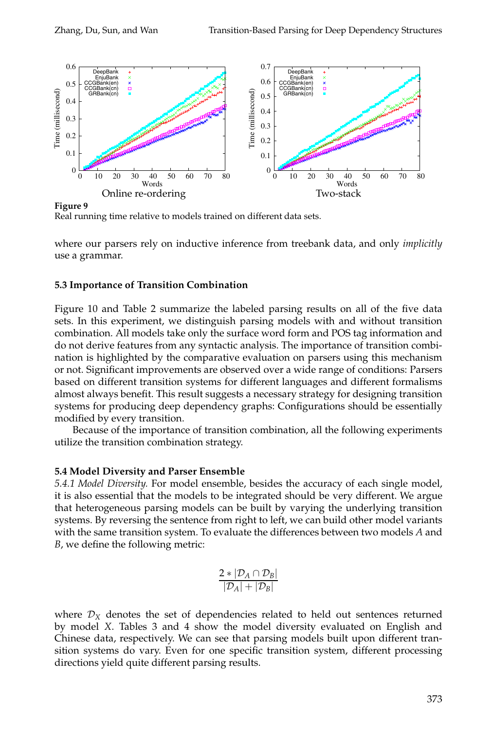

**Figure 9**



where our parsers rely on inductive inference from treebank data, and only *implicitly* use a grammar.

#### **5.3 Importance of Transition Combination**

Figure 10 and Table 2 summarize the labeled parsing results on all of the five data sets. In this experiment, we distinguish parsing models with and without transition combination. All models take only the surface word form and POS tag information and do not derive features from any syntactic analysis. The importance of transition combination is highlighted by the comparative evaluation on parsers using this mechanism or not. Significant improvements are observed over a wide range of conditions: Parsers based on different transition systems for different languages and different formalisms almost always benefit. This result suggests a necessary strategy for designing transition systems for producing deep dependency graphs: Configurations should be essentially modified by every transition.

Because of the importance of transition combination, all the following experiments utilize the transition combination strategy.

## **5.4 Model Diversity and Parser Ensemble**

*5.4.1 Model Diversity.* For model ensemble, besides the accuracy of each single model, it is also essential that the models to be integrated should be very different. We argue that heterogeneous parsing models can be built by varying the underlying transition systems. By reversing the sentence from right to left, we can build other model variants with the same transition system. To evaluate the differences between two models *A* and *B*, we define the following metric:

$$
\frac{2 * |\mathcal{D}_A \cap \mathcal{D}_B|}{|\mathcal{D}_A| + |\mathcal{D}_B|}
$$

where  $\mathcal{D}_X$  denotes the set of dependencies related to held out sentences returned by model *X*. Tables 3 and 4 show the model diversity evaluated on English and Chinese data, respectively. We can see that parsing models built upon different transition systems do vary. Even for one specific transition system, different processing directions yield quite different parsing results.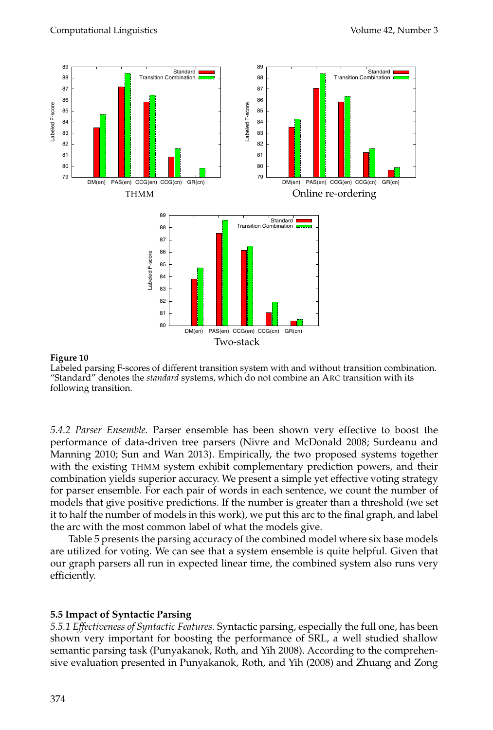

#### **Figure 10**

Labeled parsing F-scores of different transition system with and without transition combination. "Standard" denotes the *standard* systems, which do not combine an ARC transition with its following transition.

*5.4.2 Parser Ensemble.* Parser ensemble has been shown very effective to boost the performance of data-driven tree parsers (Nivre and McDonald 2008; Surdeanu and Manning 2010; Sun and Wan 2013). Empirically, the two proposed systems together with the existing THMM system exhibit complementary prediction powers, and their combination yields superior accuracy. We present a simple yet effective voting strategy for parser ensemble. For each pair of words in each sentence, we count the number of models that give positive predictions. If the number is greater than a threshold (we set it to half the number of models in this work), we put this arc to the final graph, and label the arc with the most common label of what the models give.

Table 5 presents the parsing accuracy of the combined model where six base models are utilized for voting. We can see that a system ensemble is quite helpful. Given that our graph parsers all run in expected linear time, the combined system also runs very efficiently.

## **5.5 Impact of Syntactic Parsing**

*5.5.1 Effectiveness of Syntactic Features.* Syntactic parsing, especially the full one, has been shown very important for boosting the performance of SRL, a well studied shallow semantic parsing task (Punyakanok, Roth, and Yih 2008). According to the comprehensive evaluation presented in Punyakanok, Roth, and Yih (2008) and Zhuang and Zong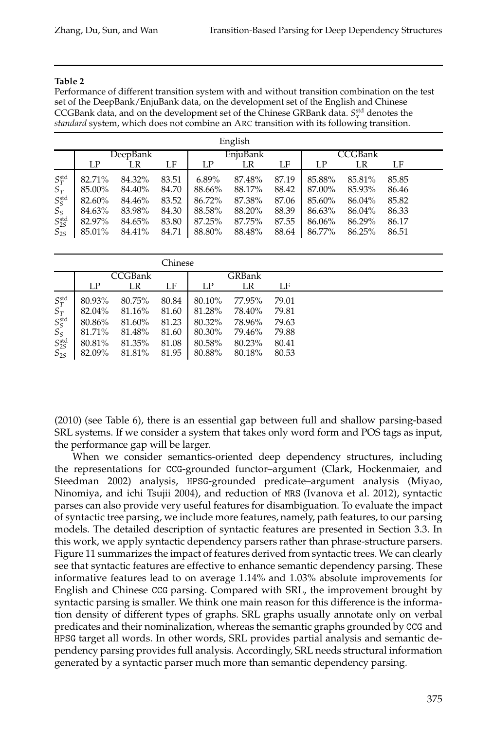Performance of different transition system with and without transition combination on the test set of the DeepBank/EnjuBank data, on the development set of the English and Chinese CCGBank data, and on the development set of the Chinese GRBank data. *S*std *<sup>x</sup>* denotes the *standard* system, which does not combine an ARC transition with its following transition.

|                                                              | English                              |                                      |                                  |                                        |                                      |                                  |                                      |                                      |                                  |  |  |  |
|--------------------------------------------------------------|--------------------------------------|--------------------------------------|----------------------------------|----------------------------------------|--------------------------------------|----------------------------------|--------------------------------------|--------------------------------------|----------------------------------|--|--|--|
|                                                              |                                      | DeepBank                             |                                  |                                        | <b>EnjuBank</b>                      |                                  | <b>CCGBank</b>                       |                                      |                                  |  |  |  |
|                                                              | LP                                   | LR                                   | LF                               | LΡ                                     | LR                                   | LF                               | LΡ                                   | LR                                   | LF                               |  |  |  |
| $S_T^{\text{std}}$<br>$S_T$<br>$S_{S}^{\text{std}}$<br>$S_S$ | 82.71%<br>85.00%<br>82.60%<br>84.63% | 84.32%<br>84.40%<br>84.46%<br>83.98% | 83.51<br>84.70<br>83.52<br>84.30 | $6.89\%$<br>88.66%<br>86.72%<br>88.58% | 87.48%<br>88.17%<br>87.38%<br>88.20% | 87.19<br>88.42<br>87.06<br>88.39 | 85.88%<br>87.00%<br>85.60%<br>86.63% | 85.81%<br>85.93%<br>86.04%<br>86.04% | 85.85<br>86.46<br>85.82<br>86.33 |  |  |  |
| $S_{2S}^{\rm std}$<br>$S_{2S}$                               | 82.97%<br>85.01%                     | 84.65%<br>84.41%                     | 83.80<br>84.71                   | 87.25%<br>88.80%                       | 87.75%<br>88.48%                     | 87.55<br>88.64                   | 86.06%<br>86.77%                     | 86.29%<br>86.25%                     | 86.17<br>86.51                   |  |  |  |

|                                   |                  |                     | Chinese        |                  |                  |                |  |
|-----------------------------------|------------------|---------------------|----------------|------------------|------------------|----------------|--|
|                                   |                  | <b>CCGBank</b>      |                |                  | <b>GRBank</b>    |                |  |
|                                   | LP               | LR                  | LF             | LP               | LR               | LF             |  |
| $S_T^{\rm std} \over S_T$         | 80.93%<br>82.04% | 80.75%<br>$81.16\%$ | 80.84<br>81.60 | 80.10%<br>81.28% | 77.95%<br>78.40% | 79.01<br>79.81 |  |
| $S_S^{\text{std}}$<br>$S_S$       | 80.86%<br>81.71% | 81.60%<br>81.48%    | 81.23<br>81.60 | 80.32%<br>80.30% | 78.96%<br>79.46% | 79.63<br>79.88 |  |
| $S_{2S}^{\text{std}}$<br>$S_{2S}$ | 80.81%<br>82.09% | 81.35%<br>81.81%    | 81.08<br>81.95 | 80.58%<br>80.88% | 80.23%<br>80.18% | 80.41<br>80.53 |  |

(2010) (see Table 6), there is an essential gap between full and shallow parsing-based SRL systems. If we consider a system that takes only word form and POS tags as input, the performance gap will be larger.

When we consider semantics-oriented deep dependency structures, including the representations for CCG-grounded functor–argument (Clark, Hockenmaier, and Steedman 2002) analysis, HPSG-grounded predicate-argument analysis (Miyao, Ninomiya, and ichi Tsujii 2004), and reduction of MRS (Ivanova et al. 2012), syntactic parses can also provide very useful features for disambiguation. To evaluate the impact of syntactic tree parsing, we include more features, namely, path features, to our parsing models. The detailed description of syntactic features are presented in Section 3.3. In this work, we apply syntactic dependency parsers rather than phrase-structure parsers. Figure 11 summarizes the impact of features derived from syntactic trees. We can clearly see that syntactic features are effective to enhance semantic dependency parsing. These informative features lead to on average 1.14% and 1.03% absolute improvements for English and Chinese CCG parsing. Compared with SRL, the improvement brought by syntactic parsing is smaller. We think one main reason for this difference is the information density of different types of graphs. SRL graphs usually annotate only on verbal predicates and their nominalization, whereas the semantic graphs grounded by CCG and HPSG target all words. In other words, SRL provides partial analysis and semantic dependency parsing provides full analysis. Accordingly, SRL needs structural information generated by a syntactic parser much more than semantic dependency parsing.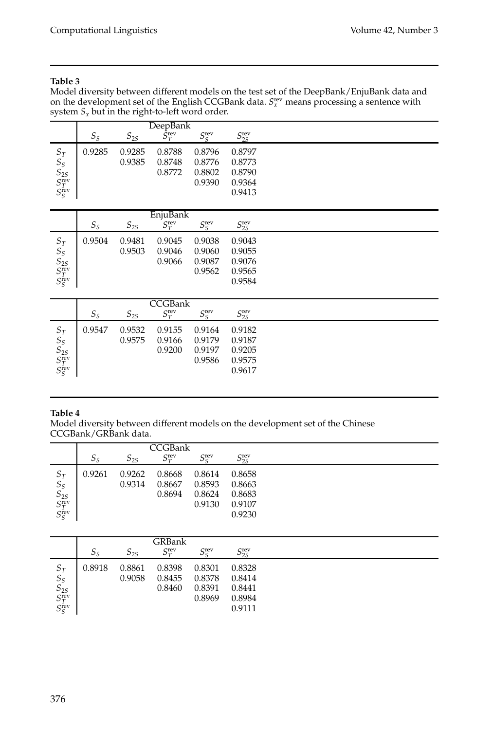Model diversity between different models on the test set of the DeepBank/EnjuBank data and on the development set of the English CCGBank data.  $S_x^{\text{rev}}$  means processing a sentence with system *Sx* but in the right-to-left word order.

|                                                                        |        |          | DeepBank                   |                    |                    |  |
|------------------------------------------------------------------------|--------|----------|----------------------------|--------------------|--------------------|--|
|                                                                        | $S_S$  | $S_{2S}$ | $\tilde{S}^{\text{rev}}_T$ | $S_S^{\rm rev}$    | $S^{\rm rev}_{2S}$ |  |
| $S_T$                                                                  | 0.9285 | 0.9285   | 0.8788                     | 0.8796             | 0.8797             |  |
|                                                                        |        | 0.9385   | 0.8748                     | 0.8776             | 0.8773             |  |
|                                                                        |        |          | 0.8772                     | 0.8802             | 0.8790             |  |
|                                                                        |        |          |                            | 0.9390             | 0.9364             |  |
| $S_S$<br>$S_{2S}$<br>$S_{T}^{\text{rev}}$<br>$S_{S}^{\text{rev}}$      |        |          |                            |                    | 0.9413             |  |
|                                                                        |        |          |                            |                    |                    |  |
|                                                                        |        |          | <b>EnjuBank</b>            |                    |                    |  |
|                                                                        | $S_S$  | $S_{2S}$ | $S_T^{\text{rev}}$         | $S_S^{\text{rev}}$ | $S^{\rm rev}_{2S}$ |  |
|                                                                        | 0.9504 | 0.9481   | 0.9045                     | 0.9038             | 0.9043             |  |
|                                                                        |        | 0.9503   | 0.9046                     | 0.9060             | 0.9055             |  |
|                                                                        |        |          | 0.9066                     | 0.9087             | 0.9076             |  |
|                                                                        |        |          |                            | 0.9562             | 0.9565             |  |
| $S_T$<br>$S_S$<br>$S_{2S}$<br>$S_T^{\text{rev}}$<br>$S_S^{\text{rev}}$ |        |          |                            |                    | 0.9584             |  |
|                                                                        |        |          |                            |                    |                    |  |
|                                                                        |        |          | <b>CCGBank</b>             |                    |                    |  |
|                                                                        | $S_S$  | $S_{2S}$ | $S_T^{\text{rev}}$         | $S_S^{\rm rev}$    | $S^{\rm rev}_{2S}$ |  |
|                                                                        | 0.9547 | 0.9532   | 0.9155                     | 0.9164             | 0.9182             |  |
|                                                                        |        | 0.9575   | 0.9166                     | 0.9179             | 0.9187             |  |
|                                                                        |        |          | 0.9200                     | 0.9197             | 0.9205             |  |
|                                                                        |        |          |                            | 0.9586             | 0.9575             |  |
| $S_T$<br>$S_S$<br>$S_{2S}$<br>$S_T^{\text{rev}}$<br>$S_S^{\text{rev}}$ |        |          |                            |                    | 0.9617             |  |
|                                                                        |        |          |                            |                    |                    |  |

#### **Table 4**

Model diversity between different models on the development set of the Chinese CCGBank/GRBank data.

|                                                                   |         |          | <b>CCGBank</b>          |                    |                       |
|-------------------------------------------------------------------|---------|----------|-------------------------|--------------------|-----------------------|
|                                                                   | $S_{S}$ | $S_{2S}$ | $S_{\tau}^{\text{rev}}$ | $S_c^{\text{rev}}$ | $S_{2S}^{\text{rev}}$ |
| $S_T$                                                             | 0.9261  | 0.9262   | 0.8668                  | 0.8614             | 0.8658                |
| $S_S$<br>$S_{2S}$<br>$S_{T}^{\text{rev}}$<br>$S_{S}^{\text{rev}}$ |         | 0.9314   | 0.8667                  | 0.8593             | 0.8663                |
|                                                                   |         |          | 0.8694                  | 0.8624             | 0.8683                |
|                                                                   |         |          |                         | 0.9130             | 0.9107                |
|                                                                   |         |          |                         |                    | 0.9230                |
|                                                                   |         |          |                         |                    |                       |

|                                                                                 |         |          | <b>GRBank</b>      |                       |                       |
|---------------------------------------------------------------------------------|---------|----------|--------------------|-----------------------|-----------------------|
|                                                                                 | $S_{S}$ | $S_{2S}$ | $S_T^{\text{rev}}$ | $S_{\rm c}^{\rm rev}$ | $S_{2S}^{\text{rev}}$ |
| $S_T$                                                                           | 0.8918  | 0.8861   | 0.8398             | 0.8301                | 0.8328                |
| $S_{\mathcal{S}}$                                                               |         | 0.9058   | 0.8455             | 0.8378                | 0.8414                |
|                                                                                 |         |          | 0.8460             | 0.8391                | 0.8441                |
|                                                                                 |         |          |                    | 0.8969                | 0.8984                |
| $\begin{array}{c} S_{2S}\\ S_{T}^{\text{rev}}\\ S_{S}^{\text{rev}} \end{array}$ |         |          |                    |                       | 0.9111                |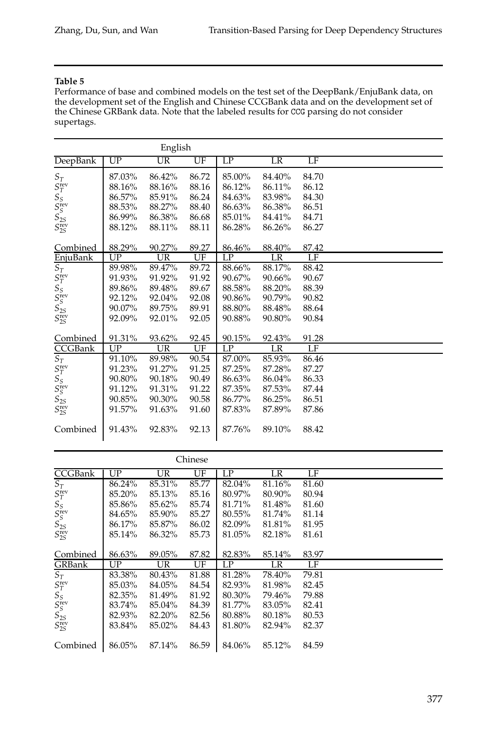Performance of base and combined models on the test set of the DeepBank/EnjuBank data, on the development set of the English and Chinese CCGBank data and on the development set of the Chinese GRBank data. Note that the labeled results for CCG parsing do not consider supertags.

|                                             |        | English   |       |        |        |       |  |
|---------------------------------------------|--------|-----------|-------|--------|--------|-------|--|
| DeepBank                                    | UP     | UR        | UF    | LP     | LR     | LF    |  |
| $S_T$                                       | 87.03% | 86.42%    | 86.72 | 85.00% | 84.40% | 84.70 |  |
| $S_T^{\text{rev}}$                          | 88.16% | 88.16%    | 88.16 | 86.12% | 86.11% | 86.12 |  |
|                                             | 86.57% | 85.91%    | 86.24 | 84.63% | 83.98% | 84.30 |  |
| $S_S^{\text{rev}}$<br>$S_{2S}^{\text{rev}}$ | 88.53% | 88.27%    | 88.40 | 86.63% | 86.38% | 86.51 |  |
|                                             | 86.99% | 86.38%    | 86.68 | 85.01% | 84.41% | 84.71 |  |
| $S_{2S}^{\text{rev}}$                       | 88.12% | 88.11%    | 88.11 | 86.28% | 86.26% | 86.27 |  |
| Combined                                    | 88.29% | 90.27%    | 89.27 | 86.46% | 88.40% | 87.42 |  |
|                                             | UP     | UR        | UF    | LP     | LR     | LF    |  |
| $rac{\text{EnjuBank}}{S_T}$                 | 89.98% | 89.47%    | 89.72 | 88.66% | 88.17% | 88.42 |  |
| $S_T^{\text{rev}}$                          | 91.93% | 91.92%    | 91.92 | 90.67% | 90.66% | 90.67 |  |
|                                             | 89.86% | 89.48%    | 89.67 | 88.58% | 88.20% | 88.39 |  |
| $S_S$<br>$S_S^{\text{rev}}$                 | 92.12% | 92.04%    | 92.08 | 90.86% | 90.79% | 90.82 |  |
| $S_{2S}$                                    | 90.07% | 89.75%    | 89.91 | 88.80% | 88.48% | 88.64 |  |
| $S_{2S}^{\text{rev}}$                       | 92.09% | 92.01%    | 92.05 | 90.88% | 90.80% | 90.84 |  |
| Combined                                    | 91.31% | 93.62%    | 92.45 | 90.15% | 92.43% | 91.28 |  |
| <b>CCGBank</b>                              | UP     | <b>UR</b> | UF    | LP     | LR     | LF    |  |
| $S_T$                                       | 91.10% | 89.98%    | 90.54 | 87.00% | 85.93% | 86.46 |  |
| $S_T^{\text{rev}}$                          | 91.23% | 91.27%    | 91.25 | 87.25% | 87.28% | 87.27 |  |
| $S_S^{\text{rev}}$<br>$S_{2S}^{\text{rev}}$ | 90.80% | 90.18%    | 90.49 | 86.63% | 86.04% | 86.33 |  |
|                                             | 91.12% | 91.31%    | 91.22 | 87.35% | 87.53% | 87.44 |  |
|                                             | 90.85% | 90.30%    | 90.58 | 86.77% | 86.25% | 86.51 |  |
| $S_{2S}^{\text{rev}}$                       | 91.57% | 91.63%    | 91.60 | 87.83% | 87.89% | 87.86 |  |
| Combined                                    | 91.43% | 92.83%    | 92.13 | 87.76% | 89.10% | 88.42 |  |

|                       |        |        | Chinese |        |        |       |  |
|-----------------------|--------|--------|---------|--------|--------|-------|--|
| <b>CCGBank</b>        | UP     | UR     | UF      | LP     | LR     | LF    |  |
| $S_T$                 | 86.24% | 85.31% | 85.77   | 82.04% | 81.16% | 81.60 |  |
| $S_T^{\text{rev}}$    | 85.20% | 85.13% | 85.16   | 80.97% | 80.90% | 80.94 |  |
| $S_S$                 | 85.86% | 85.62% | 85.74   | 81.71% | 81.48% | 81.60 |  |
| $S_S^{\text{rev}}$    | 84.65% | 85.90% | 85.27   | 80.55% | 81.74% | 81.14 |  |
| $S_{2S}$              | 86.17% | 85.87% | 86.02   | 82.09% | 81.81% | 81.95 |  |
| $S_{2S}^{\text{rev}}$ | 85.14% | 86.32% | 85.73   | 81.05% | 82.18% | 81.61 |  |
|                       |        |        |         |        |        |       |  |
| Combined              | 86.63% | 89.05% | 87.82   | 82.83% | 85.14% | 83.97 |  |
| <b>GRBank</b>         | UP     | UR     | UF      | LP     | LR     | LF    |  |
| $S_T$                 | 83.38% | 80.43% | 81.88   | 81.28% | 78.40% | 79.81 |  |
| $S_T^{\rm rev}$       | 85.03% | 84.05% | 84.54   | 82.93% | 81.98% | 82.45 |  |
| $S_S$                 | 82.35% | 81.49% | 81.92   | 80.30% | 79.46% | 79.88 |  |
| $S_{S}^{\text{rev}}$  | 83.74% | 85.04% | 84.39   | 81.77% | 83.05% | 82.41 |  |
| $S_{2S}$              | 82.93% | 82.20% | 82.56   | 80.88% | 80.18% | 80.53 |  |
| $S_{2S}^{\text{rev}}$ | 83.84% | 85.02% | 84.43   | 81.80% | 82.94% | 82.37 |  |
|                       |        |        |         |        |        |       |  |
| Combined              | 86.05% | 87.14% | 86.59   | 84.06% | 85.12% | 84.59 |  |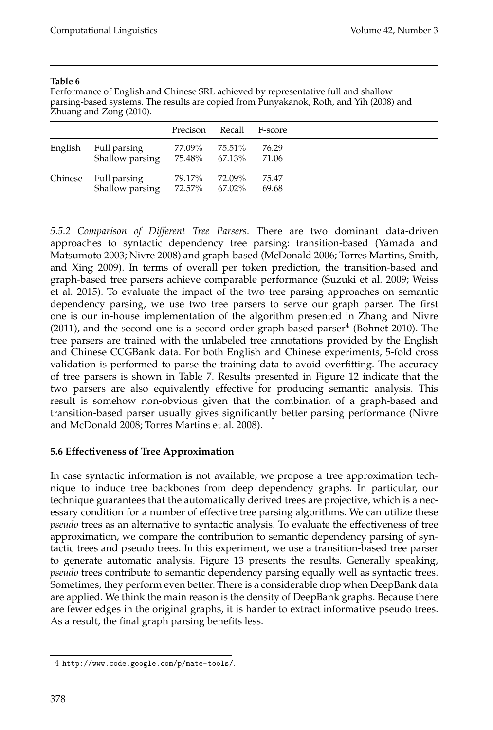Performance of English and Chinese SRL achieved by representative full and shallow parsing-based systems. The results are copied from Punyakanok, Roth, and Yih (2008) and Zhuang and Zong (2010).

|         |                                                      | Precison Recall F-score |        |                |  |
|---------|------------------------------------------------------|-------------------------|--------|----------------|--|
| English | Full parsing<br>Shallow parsing $75.48\%$ 67.13%     | 77.09%                  | 75.51% | 76.29<br>71.06 |  |
| Chinese | Full parsing 79.17%<br>Shallow parsing 72.57% 67.02% |                         | 72.09% | 75.47<br>69.68 |  |

*5.5.2 Comparison of Different Tree Parsers.* There are two dominant data-driven approaches to syntactic dependency tree parsing: transition-based (Yamada and Matsumoto 2003; Nivre 2008) and graph-based (McDonald 2006; Torres Martins, Smith, and Xing 2009). In terms of overall per token prediction, the transition-based and graph-based tree parsers achieve comparable performance (Suzuki et al. 2009; Weiss et al. 2015). To evaluate the impact of the two tree parsing approaches on semantic dependency parsing, we use two tree parsers to serve our graph parser. The first one is our in-house implementation of the algorithm presented in Zhang and Nivre  $(2011)$ , and the second one is a second-order graph-based parser<sup>4</sup> (Bohnet 2010). The tree parsers are trained with the unlabeled tree annotations provided by the English and Chinese CCGBank data. For both English and Chinese experiments, 5-fold cross validation is performed to parse the training data to avoid overfitting. The accuracy of tree parsers is shown in Table 7. Results presented in Figure 12 indicate that the two parsers are also equivalently effective for producing semantic analysis. This result is somehow non-obvious given that the combination of a graph-based and transition-based parser usually gives significantly better parsing performance (Nivre and McDonald 2008; Torres Martins et al. 2008).

## **5.6 Effectiveness of Tree Approximation**

In case syntactic information is not available, we propose a tree approximation technique to induce tree backbones from deep dependency graphs. In particular, our technique guarantees that the automatically derived trees are projective, which is a necessary condition for a number of effective tree parsing algorithms. We can utilize these *pseudo* trees as an alternative to syntactic analysis. To evaluate the effectiveness of tree approximation, we compare the contribution to semantic dependency parsing of syntactic trees and pseudo trees. In this experiment, we use a transition-based tree parser to generate automatic analysis. Figure 13 presents the results. Generally speaking, *pseudo* trees contribute to semantic dependency parsing equally well as syntactic trees. Sometimes, they perform even better. There is a considerable drop when DeepBank data are applied. We think the main reason is the density of DeepBank graphs. Because there are fewer edges in the original graphs, it is harder to extract informative pseudo trees. As a result, the final graph parsing benefits less.

<sup>4</sup> http://www.code.google.com/p/mate-tools/.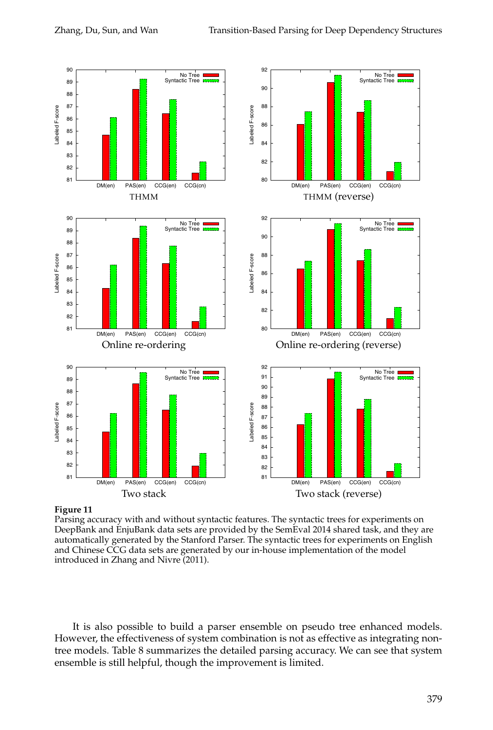

#### **Figure 11**

Parsing accuracy with and without syntactic features. The syntactic trees for experiments on DeepBank and EnjuBank data sets are provided by the SemEval 2014 shared task, and they are automatically generated by the Stanford Parser. The syntactic trees for experiments on English and Chinese CCG data sets are generated by our in-house implementation of the model introduced in Zhang and Nivre (2011).

It is also possible to build a parser ensemble on pseudo tree enhanced models. However, the effectiveness of system combination is not as effective as integrating nontree models. Table 8 summarizes the detailed parsing accuracy. We can see that system ensemble is still helpful, though the improvement is limited.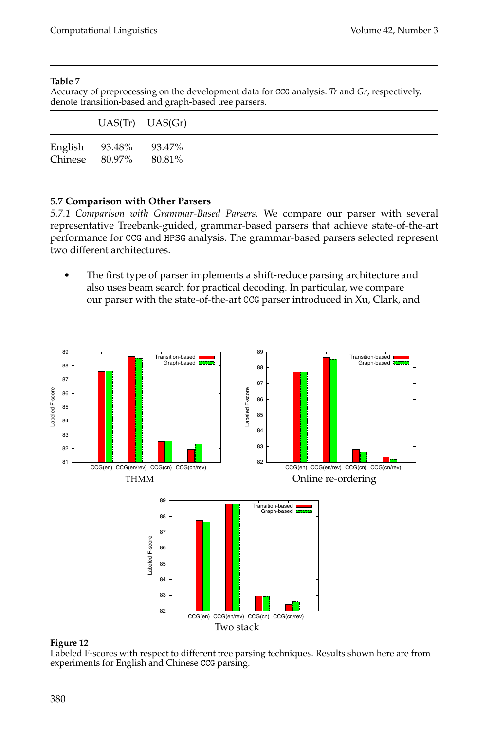Accuracy of preprocessing on the development data for CCG analysis. *Tr* and *Gr*, respectively, denote transition-based and graph-based tree parsers.

|                                                | $UAS(\text{Tr})$ $UAS(\text{Gr})$ |  |
|------------------------------------------------|-----------------------------------|--|
| English 93.48% 93.47%<br>Chinese 80.97% 80.81% |                                   |  |

## **5.7 Comparison with Other Parsers**

*5.7.1 Comparison with Grammar-Based Parsers.* We compare our parser with several representative Treebank-guided, grammar-based parsers that achieve state-of-the-art performance for CCG and HPSG analysis. The grammar-based parsers selected represent two different architectures.

- The first type of parser implements a shift-reduce parsing architecture and also uses beam search for practical decoding. In particular, we compare our parser with the state-of-the-art CCG parser introduced in Xu, Clark, and



#### **Figure 12**

Labeled F-scores with respect to different tree parsing techniques. Results shown here are from experiments for English and Chinese CCG parsing.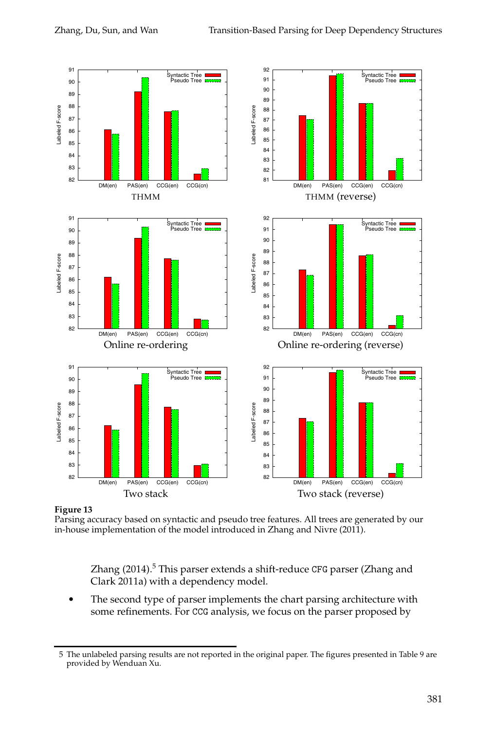

#### **Figure 13**

Parsing accuracy based on syntactic and pseudo tree features. All trees are generated by our in-house implementation of the model introduced in Zhang and Nivre (2011).

Zhang (2014).<sup>5</sup> This parser extends a shift-reduce CFG parser (Zhang and Clark 2011a) with a dependency model.

 $\bullet$  The second type of parser implements the chart parsing architecture with some refinements. For CCG analysis, we focus on the parser proposed by

<sup>5</sup> The unlabeled parsing results are not reported in the original paper. The figures presented in Table 9 are provided by Wenduan Xu.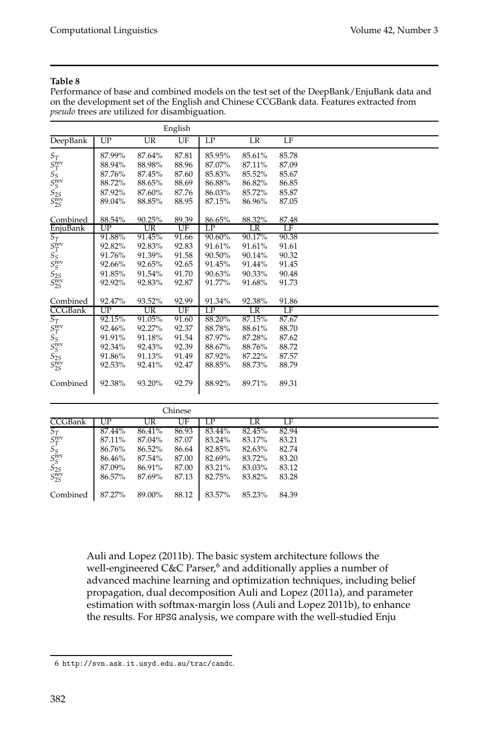Performance of base and combined models on the test set of the DeepBank/EnjuBank data and on the development set of the English and Chinese CCGBank data. Features extracted from *pseudo* trees are utilized for disambiguation.

|                                                                                                                   |        |        | English             |        |        |       |  |
|-------------------------------------------------------------------------------------------------------------------|--------|--------|---------------------|--------|--------|-------|--|
| DeepBank                                                                                                          | UP     | UR     | UF                  | LP     | LR     | LF    |  |
| $S_T$                                                                                                             | 87.99% | 87.64% | 87.81               | 85.95% | 85.61% | 85.78 |  |
|                                                                                                                   | 88.94% | 88.98% | 88.96               | 87.07% | 87.11% | 87.09 |  |
|                                                                                                                   | 87.76% | 87.45% | 87.60               | 85.83% | 85.52% | 85.67 |  |
|                                                                                                                   | 88.72% | 88.65% | 88.69               | 86.88% | 86.82% | 86.85 |  |
|                                                                                                                   | 87.92% | 87.60% | 87.76               | 86.03% | 85.72% | 85.87 |  |
| $\begin{array}{l} S_T^{\text{rev}} \\ S_S^{\text{rev}} \\ S_{2S}^{\text{rev}} \\ S_{2S}^{\text{rev}} \end{array}$ | 89.04% | 88.85% | 88.95               | 87.15% | 86.96% | 87.05 |  |
| Combined                                                                                                          | 88.54% | 90.25% | 89.39               | 86.65% | 88.32% | 87.48 |  |
| <b>EnjuBank</b>                                                                                                   | UP     | UR     | $\overline{\rm UF}$ | LP     | LR     | LF    |  |
| $rac{S_T}{S_T^{\text{rev}}}$<br>$S_S^{\text{rev}}$<br>$S_{2S}^{\text{rev}}$<br>$S_{2S}^{\text{rev}}$              | 91.88% | 91.45% | 91.66               | 90.60% | 90.17% | 90.38 |  |
|                                                                                                                   | 92.82% | 92.83% | 92.83               | 91.61% | 91.61% | 91.61 |  |
|                                                                                                                   | 91.76% | 91.39% | 91.58               | 90.50% | 90.14% | 90.32 |  |
|                                                                                                                   | 92.66% | 92.65% | 92.65               | 91.45% | 91.44% | 91.45 |  |
|                                                                                                                   | 91.85% | 91.54% | 91.70               | 90.63% | 90.33% | 90.48 |  |
|                                                                                                                   | 92.92% | 92.83% | 92.87               | 91.77% | 91.68% | 91.73 |  |
| Combined                                                                                                          | 92.47% | 93.52% | 92.99               | 91.34% | 92.38% | 91.86 |  |
| <b>CCGBank</b>                                                                                                    | UP     | UR     | UF                  | LP     | LR     | LF    |  |
| $S_T$                                                                                                             | 92.15% | 91.05% | 91.60               | 88.20% | 87.15% | 87.67 |  |
|                                                                                                                   | 92.46% | 92.27% | 92.37               | 88.78% | 88.61% | 88.70 |  |
|                                                                                                                   | 91.91% | 91.18% | 91.54               | 87.97% | 87.28% | 87.62 |  |
|                                                                                                                   | 92.34% | 92.43% | 92.39               | 88.67% | 88.76% | 88.72 |  |
|                                                                                                                   | 91.86% | 91.13% | 91.49               | 87.92% | 87.22% | 87.57 |  |
| $S_T^{\text{rev}}$<br>$S_S^{\text{rev}}$<br>$S_{2S}^{\text{rev}}$<br>$S_{2S}^{\text{rev}}$                        | 92.53% | 92.41% | 92.47               | 88.85% | 88.73% | 88.79 |  |
| Combined                                                                                                          | 92.38% | 93.20% | 92.79               | 88.92% | 89.71% | 89.31 |  |
|                                                                                                                   |        |        | Chinee              |        |        |       |  |

|                                                                   |        |        | спшезе |        |        |       |  |
|-------------------------------------------------------------------|--------|--------|--------|--------|--------|-------|--|
| <b>CCGBank</b>                                                    | UP     | UR     | UF     | LP     | LR     | LF    |  |
| $S_T$                                                             | 87.44% | 86.41% | 86.93  | 83.44% | 82.45% | 82.94 |  |
|                                                                   | 87.11% | 87.04% | 87.07  | 83.24% | 83.17% | 83.21 |  |
|                                                                   | 86.76% | 86.52% | 86.64  | 82.85% | 82.63% | 82.74 |  |
|                                                                   | 86.46% | 87.54% | 87.00  | 82.69% | 83.72% | 83.20 |  |
| $S_T^{\text{rev}}$<br>$S_S^{\text{rev}}$<br>$S_{2S}^{\text{rev}}$ | 87.09% | 86.91% | 87.00  | 83.21% | 83.03% | 83.12 |  |
| $S_{2S}^{\text{rev}}$                                             | 86.57% | 87.69% | 87.13  | 82.75% | 83.82% | 83.28 |  |
|                                                                   |        |        |        |        |        |       |  |
| Combined 87.27%                                                   |        | 89.00% | 88.12  | 83.57% | 85.23% | 84.39 |  |
|                                                                   |        |        |        |        |        |       |  |

Auli and Lopez (2011b). The basic system architecture follows the well-engineered C&C Parser,<sup>6</sup> and additionally applies a number of advanced machine learning and optimization techniques, including belief propagation, dual decomposition Auli and Lopez (2011a), and parameter estimation with softmax-margin loss (Auli and Lopez 2011b), to enhance the results. For HPSG analysis, we compare with the well-studied Enju

<sup>6</sup> http://svn.ask.it.usyd.edu.au/trac/candc.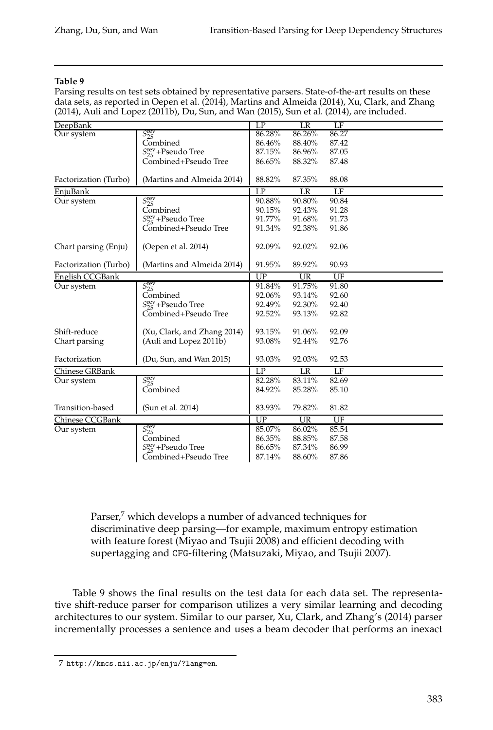Parsing results on test sets obtained by representative parsers. State-of-the-art results on these data sets, as reported in Oepen et al. (2014), Martins and Almeida (2014), Xu, Clark, and Zhang (2014), Auli and Lopez (2011b), Du, Sun, and Wan (2015), Sun et al. (2014), are included.

| <b>DeepBank</b>       |                                                             | LP     | LR     | LF    |  |
|-----------------------|-------------------------------------------------------------|--------|--------|-------|--|
|                       |                                                             |        |        |       |  |
| Our system            | $S_{2S}^{\text{rev}}$<br>Combined                           | 86.28% | 86.26% | 86.27 |  |
|                       |                                                             | 86.46% | 88.40% | 87.42 |  |
|                       | $S_{2S}^{\text{rev}}$ +Pseudo Tree                          | 87.15% | 86.96% | 87.05 |  |
|                       | Combined+Pseudo Tree                                        | 86.65% | 88.32% | 87.48 |  |
|                       |                                                             |        |        |       |  |
| Factorization (Turbo) | (Martins and Almeida 2014)                                  | 88.82% | 87.35% | 88.08 |  |
| EnjuBank              |                                                             | LP     | LR     | LF    |  |
| Our system            | $S_{2S}^{\text{rev}}$                                       | 90.88% | 90.80% | 90.84 |  |
|                       | Combined                                                    | 90.15% | 92.43% | 91.28 |  |
|                       |                                                             | 91.77% | 91.68% | 91.73 |  |
|                       | $S_{2S}^{\text{rev}}$ +Pseudo Tree                          |        |        |       |  |
|                       | Combined+Pseudo Tree                                        | 91.34% | 92.38% | 91.86 |  |
|                       |                                                             |        |        |       |  |
| Chart parsing (Enju)  | (Oepen et al. 2014)                                         | 92.09% | 92.02% | 92.06 |  |
|                       |                                                             |        |        |       |  |
| Factorization (Turbo) | (Martins and Almeida 2014)                                  | 91.95% | 89.92% | 90.93 |  |
| English CCGBank       |                                                             | UP     | UR     | UF    |  |
| Our system            | $S_{2S}^{\text{rev}}$                                       | 91.84% | 91.75% | 91.80 |  |
|                       | Combined                                                    | 92.06% | 93.14% | 92.60 |  |
|                       | $S_{2S}^{\text{rev}}$ +Pseudo Tree                          | 92.49% | 92.30% | 92.40 |  |
|                       |                                                             |        |        |       |  |
|                       | Combined+Pseudo Tree                                        | 92.52% | 93.13% | 92.82 |  |
|                       |                                                             |        |        |       |  |
| Shift-reduce          | (Xu, Clark, and Zhang 2014)                                 | 93.15% | 91.06% | 92.09 |  |
| Chart parsing         | (Auli and Lopez 2011b)                                      | 93.08% | 92.44% | 92.76 |  |
|                       |                                                             |        |        |       |  |
| Factorization         | (Du, Sun, and Wan 2015)                                     | 93.03% | 92.03% | 92.53 |  |
| Chinese GRBank        |                                                             | LP     | LR     | LF    |  |
| Our system            | $S_{2S}^{\text{rev}}$                                       | 82.28% | 83.11% | 82.69 |  |
|                       | Combined                                                    | 84.92% | 85.28% | 85.10 |  |
|                       |                                                             |        |        |       |  |
| Transition-based      |                                                             | 83.93% | 79.82% |       |  |
|                       | (Sun et al. 2014)                                           |        |        | 81.82 |  |
| Chinese CCGBank       |                                                             | UP     | UR     | UF    |  |
| Our system            |                                                             | 85.07% | 86.02% | 85.54 |  |
|                       | Combined                                                    | 86.35% | 88.85% | 87.58 |  |
|                       |                                                             | 86.65% | 87.34% | 86.99 |  |
|                       | Combined+Pseudo Tree                                        | 87.14% | 88.60% | 87.86 |  |
|                       | $S_{2S}^{\text{rev}}$<br>$S_{2S}^{\text{rev}}$ +Pseudo Tree |        |        |       |  |

Parser,<sup>7</sup> which develops a number of advanced techniques for discriminative deep parsing—for example, maximum entropy estimation with feature forest (Miyao and Tsujii 2008) and efficient decoding with supertagging and CFG-filtering (Matsuzaki, Miyao, and Tsujii 2007).

Table 9 shows the final results on the test data for each data set. The representative shift-reduce parser for comparison utilizes a very similar learning and decoding architectures to our system. Similar to our parser, Xu, Clark, and Zhang's (2014) parser incrementally processes a sentence and uses a beam decoder that performs an inexact

<sup>7</sup> http://kmcs.nii.ac.jp/enju/?lang=en.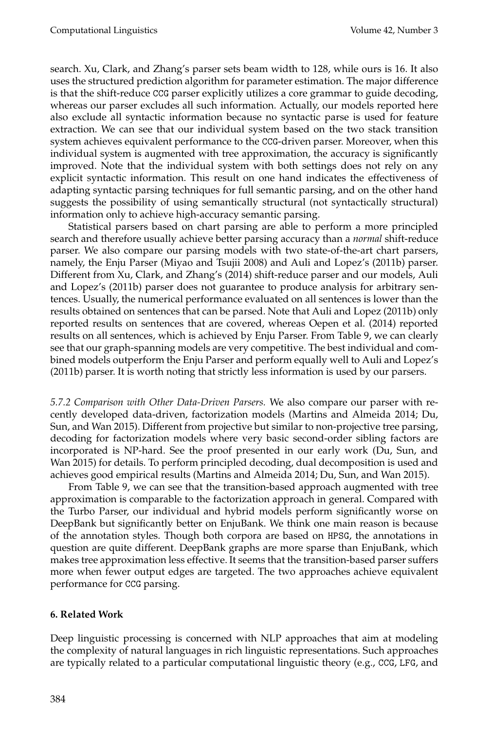search. Xu, Clark, and Zhang's parser sets beam width to 128, while ours is 16. It also uses the structured prediction algorithm for parameter estimation. The major difference is that the shift-reduce CCG parser explicitly utilizes a core grammar to guide decoding, whereas our parser excludes all such information. Actually, our models reported here also exclude all syntactic information because no syntactic parse is used for feature extraction. We can see that our individual system based on the two stack transition system achieves equivalent performance to the CCG-driven parser. Moreover, when this individual system is augmented with tree approximation, the accuracy is significantly improved. Note that the individual system with both settings does not rely on any explicit syntactic information. This result on one hand indicates the effectiveness of adapting syntactic parsing techniques for full semantic parsing, and on the other hand suggests the possibility of using semantically structural (not syntactically structural) information only to achieve high-accuracy semantic parsing.

Statistical parsers based on chart parsing are able to perform a more principled search and therefore usually achieve better parsing accuracy than a *normal* shift-reduce parser. We also compare our parsing models with two state-of-the-art chart parsers, namely, the Enju Parser (Miyao and Tsujii 2008) and Auli and Lopez's (2011b) parser. Different from Xu, Clark, and Zhang's (2014) shift-reduce parser and our models, Auli and Lopez's (2011b) parser does not guarantee to produce analysis for arbitrary sentences. Usually, the numerical performance evaluated on all sentences is lower than the results obtained on sentences that can be parsed. Note that Auli and Lopez (2011b) only reported results on sentences that are covered, whereas Oepen et al. (2014) reported results on all sentences, which is achieved by Enju Parser. From Table 9, we can clearly see that our graph-spanning models are very competitive. The best individual and combined models outperform the Enju Parser and perform equally well to Auli and Lopez's (2011b) parser. It is worth noting that strictly less information is used by our parsers.

*5.7.2 Comparison with Other Data-Driven Parsers.* We also compare our parser with recently developed data-driven, factorization models (Martins and Almeida 2014; Du, Sun, and Wan 2015). Different from projective but similar to non-projective tree parsing, decoding for factorization models where very basic second-order sibling factors are incorporated is NP-hard. See the proof presented in our early work (Du, Sun, and Wan 2015) for details. To perform principled decoding, dual decomposition is used and achieves good empirical results (Martins and Almeida 2014; Du, Sun, and Wan 2015).

From Table 9, we can see that the transition-based approach augmented with tree approximation is comparable to the factorization approach in general. Compared with the Turbo Parser, our individual and hybrid models perform significantly worse on DeepBank but significantly better on EnjuBank. We think one main reason is because of the annotation styles. Though both corpora are based on HPSG, the annotations in question are quite different. DeepBank graphs are more sparse than EnjuBank, which makes tree approximation less effective. It seems that the transition-based parser suffers more when fewer output edges are targeted. The two approaches achieve equivalent performance for CCG parsing.

## **6. Related Work**

Deep linguistic processing is concerned with NLP approaches that aim at modeling the complexity of natural languages in rich linguistic representations. Such approaches are typically related to a particular computational linguistic theory (e.g., CCG, LFG, and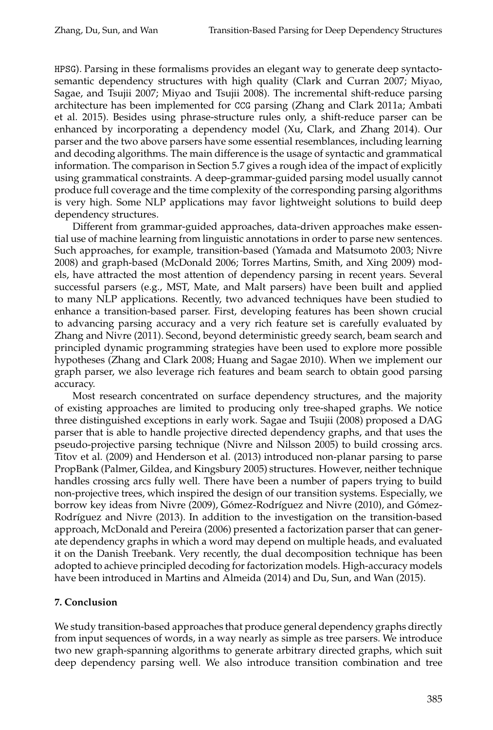HPSG). Parsing in these formalisms provides an elegant way to generate deep syntactosemantic dependency structures with high quality (Clark and Curran 2007; Miyao, Sagae, and Tsujii 2007; Miyao and Tsujii 2008). The incremental shift-reduce parsing architecture has been implemented for CCG parsing (Zhang and Clark 2011a; Ambati et al. 2015). Besides using phrase-structure rules only, a shift-reduce parser can be enhanced by incorporating a dependency model (Xu, Clark, and Zhang 2014). Our parser and the two above parsers have some essential resemblances, including learning and decoding algorithms. The main difference is the usage of syntactic and grammatical information. The comparison in Section 5.7 gives a rough idea of the impact of explicitly using grammatical constraints. A deep-grammar-guided parsing model usually cannot produce full coverage and the time complexity of the corresponding parsing algorithms is very high. Some NLP applications may favor lightweight solutions to build deep dependency structures.

Different from grammar-guided approaches, data-driven approaches make essential use of machine learning from linguistic annotations in order to parse new sentences. Such approaches, for example, transition-based (Yamada and Matsumoto 2003; Nivre 2008) and graph-based (McDonald 2006; Torres Martins, Smith, and Xing 2009) models, have attracted the most attention of dependency parsing in recent years. Several successful parsers (e.g., MST, Mate, and Malt parsers) have been built and applied to many NLP applications. Recently, two advanced techniques have been studied to enhance a transition-based parser. First, developing features has been shown crucial to advancing parsing accuracy and a very rich feature set is carefully evaluated by Zhang and Nivre (2011). Second, beyond deterministic greedy search, beam search and principled dynamic programming strategies have been used to explore more possible hypotheses (Zhang and Clark 2008; Huang and Sagae 2010). When we implement our graph parser, we also leverage rich features and beam search to obtain good parsing accuracy.

Most research concentrated on surface dependency structures, and the majority of existing approaches are limited to producing only tree-shaped graphs. We notice three distinguished exceptions in early work. Sagae and Tsujii (2008) proposed a DAG parser that is able to handle projective directed dependency graphs, and that uses the pseudo-projective parsing technique (Nivre and Nilsson 2005) to build crossing arcs. Titov et al. (2009) and Henderson et al. (2013) introduced non-planar parsing to parse PropBank (Palmer, Gildea, and Kingsbury 2005) structures. However, neither technique handles crossing arcs fully well. There have been a number of papers trying to build non-projective trees, which inspired the design of our transition systems. Especially, we borrow key ideas from Nivre (2009), Gómez-Rodríguez and Nivre (2010), and Gómez-Rodríguez and Nivre (2013). In addition to the investigation on the transition-based approach, McDonald and Pereira (2006) presented a factorization parser that can generate dependency graphs in which a word may depend on multiple heads, and evaluated it on the Danish Treebank. Very recently, the dual decomposition technique has been adopted to achieve principled decoding for factorization models. High-accuracy models have been introduced in Martins and Almeida (2014) and Du, Sun, and Wan (2015).

## **7. Conclusion**

We study transition-based approaches that produce general dependency graphs directly from input sequences of words, in a way nearly as simple as tree parsers. We introduce two new graph-spanning algorithms to generate arbitrary directed graphs, which suit deep dependency parsing well. We also introduce transition combination and tree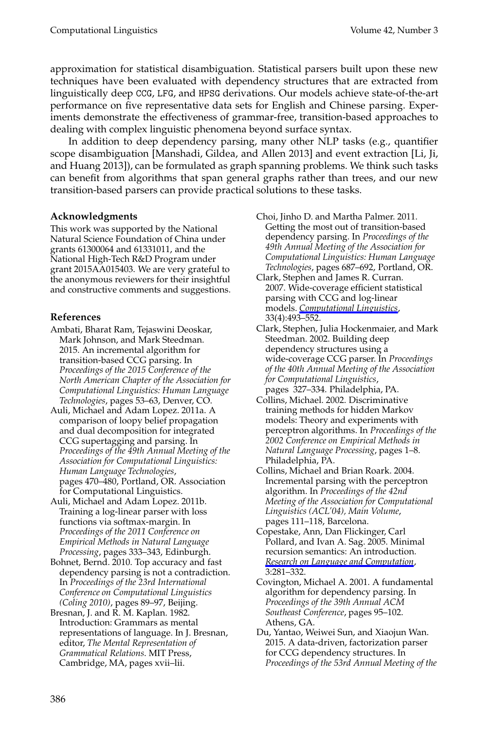approximation for statistical disambiguation. Statistical parsers built upon these new techniques have been evaluated with dependency structures that are extracted from linguistically deep CCG, LFG, and HPSG derivations. Our models achieve state-of-the-art performance on five representative data sets for English and Chinese parsing. Experiments demonstrate the effectiveness of grammar-free, transition-based approaches to dealing with complex linguistic phenomena beyond surface syntax.

In addition to deep dependency parsing, many other NLP tasks (e.g., quantifier scope disambiguation [Manshadi, Gildea, and Allen 2013] and event extraction [Li, Ji, and Huang 2013]), can be formulated as graph spanning problems. We think such tasks can benefit from algorithms that span general graphs rather than trees, and our new transition-based parsers can provide practical solutions to these tasks.

## **Acknowledgments**

This work was supported by the National Natural Science Foundation of China under grants 61300064 and 61331011, and the National High-Tech R&D Program under grant 2015AA015403. We are very grateful to the anonymous reviewers for their insightful and constructive comments and suggestions.

## **References**

- Ambati, Bharat Ram, Tejaswini Deoskar, Mark Johnson, and Mark Steedman. 2015. An incremental algorithm for transition-based CCG parsing. In *Proceedings of the 2015 Conference of the North American Chapter of the Association for Computational Linguistics: Human Language Technologies*, pages 53–63, Denver, CO.
- Auli, Michael and Adam Lopez. 2011a. A comparison of loopy belief propagation and dual decomposition for integrated CCG supertagging and parsing. In *Proceedings of the 49th Annual Meeting of the Association for Computational Linguistics: Human Language Technologies*, pages 470–480, Portland, OR. Association for Computational Linguistics.
- Auli, Michael and Adam Lopez. 2011b. Training a log-linear parser with loss functions via softmax-margin. In *Proceedings of the 2011 Conference on Empirical Methods in Natural Language Processing*, pages 333–343, Edinburgh.
- Bohnet, Bernd. 2010. Top accuracy and fast dependency parsing is not a contradiction. In *Proceedings of the 23rd International Conference on Computational Linguistics (Coling 2010)*, pages 89–97, Beijing.
- Bresnan, J. and R. M. Kaplan. 1982. Introduction: Grammars as mental representations of language. In J. Bresnan, editor, *The Mental Representation of Grammatical Relations*. MIT Press, Cambridge, MA, pages xvii–lii.
- Choi, Jinho D. and Martha Palmer. 2011. Getting the most out of transition-based dependency parsing. In *Proceedings of the 49th Annual Meeting of the Association for Computational Linguistics: Human Language Technologies*, pages 687–692, Portland, OR.
- Clark, Stephen and James R. Curran. 2007. Wide-coverage efficient statistical parsing with CCG and log-linear models. *[Computational Linguistics](http://www.mitpressjournals.org/action/showLinks?system=10.1162%2Fcoli.2007.33.4.493)*, 33(4):493–552.
- Clark, Stephen, Julia Hockenmaier, and Mark Steedman. 2002. Building deep dependency structures using a wide-coverage CCG parser. In *Proceedings of the 40th Annual Meeting of the Association for Computational Linguistics*,
- pages 327–334. Philadelphia, PA. Collins, Michael. 2002. Discriminative training methods for hidden Markov models: Theory and experiments with perceptron algorithms. In *Proceedings of the 2002 Conference on Empirical Methods in Natural Language Processing*, pages 1–8. Philadelphia, PA.
- Collins, Michael and Brian Roark. 2004. Incremental parsing with the perceptron algorithm. In *Proceedings of the 42nd Meeting of the Association for Computational Linguistics (ACL'04), Main Volume*, pages 111–118, Barcelona.
- Copestake, Ann, Dan Flickinger, Carl Pollard, and Ivan A. Sag. 2005. Minimal recursion semantics: An introduction. *[Research on Language and Computation](http://www.mitpressjournals.org/action/showLinks?crossref=10.1007%2Fs11168-006-6327-9)*, 3:281–332.
- Covington, Michael A. 2001. A fundamental algorithm for dependency parsing. In *Proceedings of the 39th Annual ACM Southeast Conference*, pages 95–102. Athens, GA.
- Du, Yantao, Weiwei Sun, and Xiaojun Wan. 2015. A data-driven, factorization parser for CCG dependency structures. In *Proceedings of the 53rd Annual Meeting of the*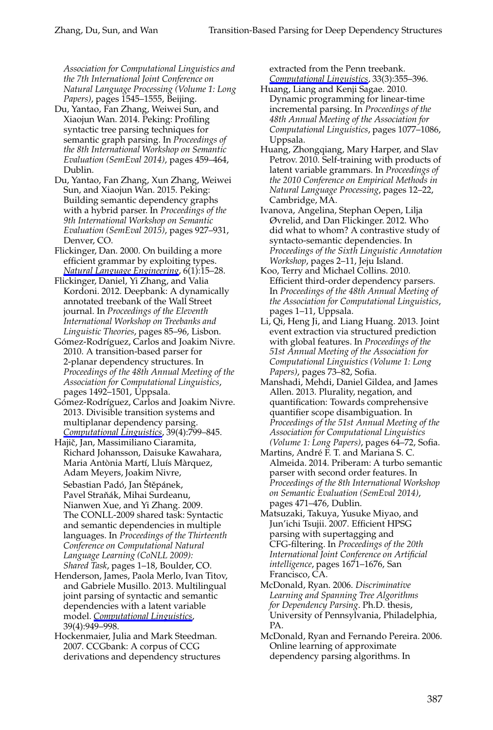*Association for Computational Linguistics and the 7th International Joint Conference on Natural Language Processing (Volume 1: Long Papers)*, pages 1545–1555, Beijing.

- Du, Yantao, Fan Zhang, Weiwei Sun, and Xiaojun Wan. 2014. Peking: Profiling syntactic tree parsing techniques for semantic graph parsing. In *Proceedings of the 8th International Workshop on Semantic Evaluation (SemEval 2014)*, pages 459–464, Dublin.
- Du, Yantao, Fan Zhang, Xun Zhang, Weiwei Sun, and Xiaojun Wan. 2015. Peking: Building semantic dependency graphs with a hybrid parser. In *Proceedings of the 9th International Workshop on Semantic Evaluation (SemEval 2015)*, pages 927–931, Denver, CO.
- Flickinger, Dan. 2000. On building a more efficient grammar by exploiting types. *[Natural Language Engineering](http://www.mitpressjournals.org/action/showLinks?crossref=10.1017%2FS1351324900002370)*, 6(1):15–28.
- Flickinger, Daniel, Yi Zhang, and Valia Kordoni. 2012. Deepbank: A dynamically annotated treebank of the Wall Street journal. In *Proceedings of the Eleventh International Workshop on Treebanks and Linguistic Theories*, pages 85–96, Lisbon.
- Gómez-Rodríguez, Carlos and Joakim Nivre. 2010. A transition-based parser for 2-planar dependency structures. In *Proceedings of the 48th Annual Meeting of the Association for Computational Linguistics*, pages 1492–1501, Uppsala.
- Gómez-Rodríguez, Carlos and Joakim Nivre. 2013. Divisible transition systems and multiplanar dependency parsing. *[Computational Linguistics](http://www.mitpressjournals.org/action/showLinks?system=10.1162%2FCOLI_a_00150)*, 39(4):799–845.
- Hajič, Jan, Massimiliano Ciaramita, Richard Johansson, Daisuke Kawahara, Maria Antònia Martí, Lluís Màrquez, Adam Meyers, Joakim Nivre, Sebastian Padó, Jan Štěpánek, Pavel Straňák, Mihai Surdeanu, Nianwen Xue, and Yi Zhang. 2009. The CONLL-2009 shared task: Syntactic and semantic dependencies in multiple languages. In *Proceedings of the Thirteenth Conference on Computational Natural Language Learning (CoNLL 2009): Shared Task*, pages 1–18, Boulder, CO.
- Henderson, James, Paola Merlo, Ivan Titov, and Gabriele Musillo. 2013. Multilingual joint parsing of syntactic and semantic dependencies with a latent variable model. *[Computational Linguistics](http://www.mitpressjournals.org/action/showLinks?system=10.1162%2FCOLI_a_00158)*, 39(4):949–998.
- Hockenmaier, Julia and Mark Steedman. 2007. CCGbank: A corpus of CCG derivations and dependency structures

extracted from the Penn treebank. *[Computational Linguistics](http://www.mitpressjournals.org/action/showLinks?system=10.1162%2Fcoli.2007.33.3.355)*, 33(3):355–396.

- Huang, Liang and Kenji Sagae. 2010. Dynamic programming for linear-time incremental parsing. In *Proceedings of the 48th Annual Meeting of the Association for Computational Linguistics*, pages 1077–1086, Uppsala.
- Huang, Zhongqiang, Mary Harper, and Slav Petrov. 2010. Self-training with products of latent variable grammars. In *Proceedings of the 2010 Conference on Empirical Methods in Natural Language Processing*, pages 12–22, Cambridge, MA.
- Ivanova, Angelina, Stephan Oepen, Lilja Øvrelid, and Dan Flickinger. 2012. Who did what to whom? A contrastive study of syntacto-semantic dependencies. In *Proceedings of the Sixth Linguistic Annotation Workshop*, pages 2–11, Jeju Island.
- Koo, Terry and Michael Collins. 2010. Efficient third-order dependency parsers. In *Proceedings of the 48th Annual Meeting of the Association for Computational Linguistics*, pages 1–11, Uppsala.
- Li, Qi, Heng Ji, and Liang Huang. 2013. Joint event extraction via structured prediction with global features. In *Proceedings of the 51st Annual Meeting of the Association for Computational Linguistics (Volume 1: Long Papers)*, pages 73–82, Sofia.
- Manshadi, Mehdi, Daniel Gildea, and James Allen. 2013. Plurality, negation, and quantification: Towards comprehensive quantifier scope disambiguation. In *Proceedings of the 51st Annual Meeting of the Association for Computational Linguistics (Volume 1: Long Papers)*, pages 64–72, Sofia.
- Martins, André F. T. and Mariana S. C. Almeida. 2014. Priberam: A turbo semantic parser with second order features. In *Proceedings of the 8th International Workshop on Semantic Evaluation (SemEval 2014)*, pages 471–476, Dublin.
- Matsuzaki, Takuya, Yusuke Miyao, and Jun'ichi Tsujii. 2007. Efficient HPSG parsing with supertagging and CFG-filtering. In *Proceedings of the 20th International Joint Conference on Artificial intelligence*, pages 1671–1676, San Francisco, CA.
- McDonald, Ryan. 2006. *Discriminative Learning and Spanning Tree Algorithms for Dependency Parsing*. Ph.D. thesis, University of Pennsylvania, Philadelphia, PA.
- McDonald, Ryan and Fernando Pereira. 2006. Online learning of approximate dependency parsing algorithms. In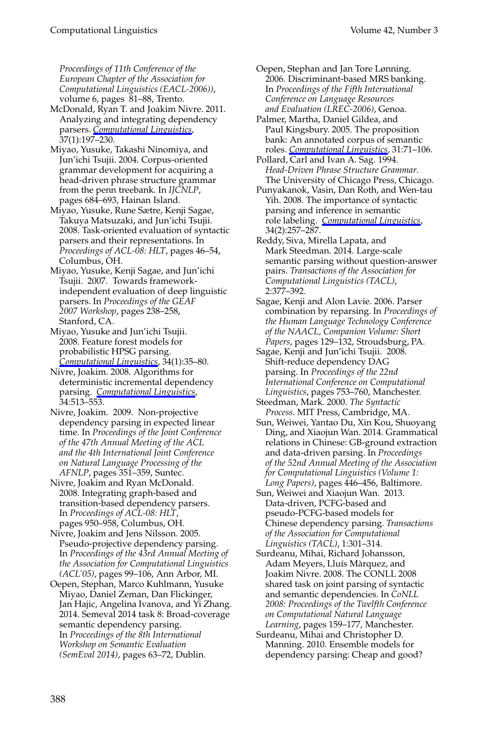*Proceedings of 11th Conference of the European Chapter of the Association for Computational Linguistics (EACL-2006))*, volume 6, pages 81–88, Trento.

- McDonald, Ryan T. and Joakim Nivre. 2011. Analyzing and integrating dependency parsers. *[Computational Linguistics](http://www.mitpressjournals.org/action/showLinks?system=10.1162%2Fcoli_a_00039)*,  $37(1):197 - 230.$
- Miyao, Yusuke, Takashi Ninomiya, and Jun'ichi Tsujii. 2004. Corpus-oriented grammar development for acquiring a head-driven phrase structure grammar from the penn treebank. In *IJCNLP*, pages 684–693, Hainan Island.

Miyao, Yusuke, Rune Sætre, Kenji Sagae, Takuya Matsuzaki, and Jun'ichi Tsujii. 2008. Task-oriented evaluation of syntactic parsers and their representations. In *Proceedings of ACL-08: HLT*, pages 46–54, Columbus, OH.

Miyao, Yusuke, Kenji Sagae, and Jun'ichi Tsujii. 2007. Towards frameworkindependent evaluation of deep linguistic parsers. In *Proceedings of the GEAF 2007 Workshop*, pages 238–258, Stanford, CA.

Miyao, Yusuke and Jun'ichi Tsujii. 2008. Feature forest models for probabilistic HPSG parsing. *[Computational Linguistics](http://www.mitpressjournals.org/action/showLinks?system=10.1162%2Fcoli.2008.34.1.35)*, 34(1):35–80.

Nivre, Joakim. 2008. Algorithms for deterministic incremental dependency parsing. *[Computational Linguistics](http://www.mitpressjournals.org/action/showLinks?system=10.1162%2Fcoli.07-056-R1-07-027)*, 34:513–553.

Nivre, Joakim. 2009. Non-projective dependency parsing in expected linear time. In *Proceedings of the Joint Conference of the 47th Annual Meeting of the ACL and the 4th International Joint Conference on Natural Language Processing of the AFNLP*, pages 351–359, Suntec.

Nivre, Joakim and Ryan McDonald. 2008. Integrating graph-based and transition-based dependency parsers. In *Proceedings of ACL-08: HLT*, pages 950–958, Columbus, OH.

Nivre, Joakim and Jens Nilsson. 2005. Pseudo-projective dependency parsing. In *Proceedings of the 43rd Annual Meeting of the Association for Computational Linguistics (ACL'05)*, pages 99–106, Ann Arbor, MI.

Oepen, Stephan, Marco Kuhlmann, Yusuke Miyao, Daniel Zeman, Dan Flickinger, Jan Hajic, Angelina Ivanova, and Yi Zhang. 2014. Semeval 2014 task 8: Broad-coverage semantic dependency parsing. In *Proceedings of the 8th International Workshop on Semantic Evaluation (SemEval 2014)*, pages 63–72, Dublin.

Oepen, Stephan and Jan Tore Lønning. 2006. Discriminant-based MRS banking. In *Proceedings of the Fifth International Conference on Language Resources and Evaluation (LREC-2006)*, Genoa.

Palmer, Martha, Daniel Gildea, and Paul Kingsbury. 2005. The proposition bank: An annotated corpus of semantic roles. *[Computational Linguistics](http://www.mitpressjournals.org/action/showLinks?system=10.1162%2F0891201053630264)*, 31:71–106.

Pollard, Carl and Ivan A. Sag. 1994. *Head-Driven Phrase Structure Grammar*. The University of Chicago Press, Chicago.

Punyakanok, Vasin, Dan Roth, and Wen-tau Yih. 2008. The importance of syntactic parsing and inference in semantic role labeling. *[Computational Linguistics](http://www.mitpressjournals.org/action/showLinks?system=10.1162%2Fcoli.2008.34.2.257)*, 34(2):257–287.

Reddy, Siva, Mirella Lapata, and Mark Steedman. 2014. Large-scale semantic parsing without question-answer pairs. *Transactions of the Association for Computational Linguistics (TACL)*, 2:377–392.

Sagae, Kenji and Alon Lavie. 2006. Parser combination by reparsing. In *Proceedings of the Human Language Technology Conference of the NAACL, Companion Volume: Short Papers*, pages 129–132, Stroudsburg, PA.

Sagae, Kenji and Jun'ichi Tsujii. 2008. Shift-reduce dependency DAG parsing. In *Proceedings of the 22nd International Conference on Computational Linguistics*, pages 753–760, Manchester.

Steedman, Mark. 2000. *The Syntactic Process*. MIT Press, Cambridge, MA.

Sun, Weiwei, Yantao Du, Xin Kou, Shuoyang Ding, and Xiaojun Wan. 2014. Grammatical relations in Chinese: GB-ground extraction and data-driven parsing. In *Proceedings of the 52nd Annual Meeting of the Association for Computational Linguistics (Volume 1: Long Papers)*, pages 446–456, Baltimore.

Sun, Weiwei and Xiaojun Wan. 2013. Data-driven, PCFG-based and pseudo-PCFG-based models for Chinese dependency parsing. *Transactions of the Association for Computational Linguistics (TACL)*, 1:301–314.

- Surdeanu, Mihai, Richard Johansson, Adam Meyers, Lluís Màrquez, and Joakim Nivre. 2008. The CONLL 2008 shared task on joint parsing of syntactic and semantic dependencies. In *CoNLL 2008: Proceedings of the Twelfth Conference on Computational Natural Language Learning*, pages 159–177, Manchester.
- Surdeanu, Mihai and Christopher D. Manning. 2010. Ensemble models for dependency parsing: Cheap and good?